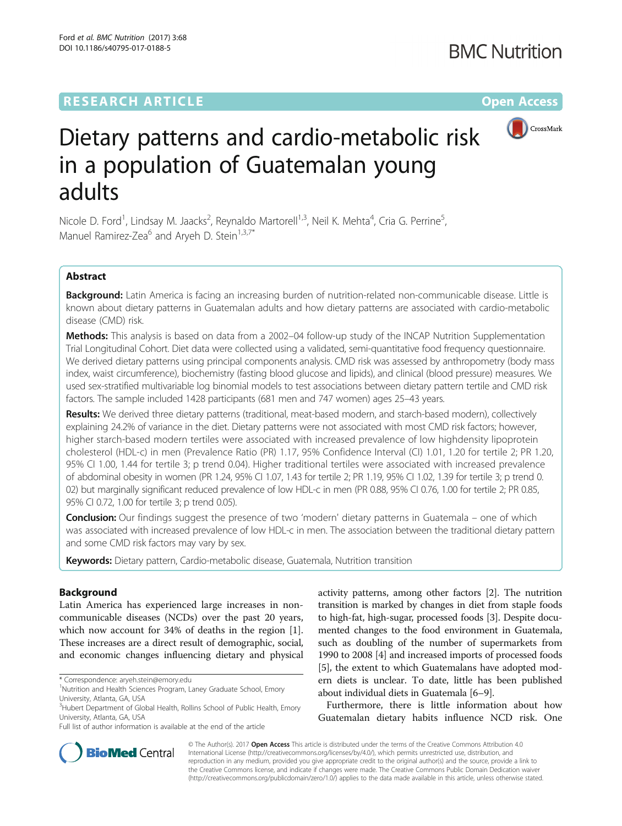## **RESEARCH ARTICLE External Structure Community Community Community Community Community Community Community Community**



# Dietary patterns and cardio-metabolic risk in a population of Guatemalan young adults

Nicole D. Ford<sup>1</sup>, Lindsay M. Jaacks<sup>2</sup>, Reynaldo Martorell<sup>1,3</sup>, Neil K. Mehta<sup>4</sup>, Cria G. Perrine<sup>5</sup> , Manuel Ramirez-Zea<sup>6</sup> and Aryeh D. Stein<sup>1,3,7\*</sup>

#### Abstract

Background: Latin America is facing an increasing burden of nutrition-related non-communicable disease. Little is known about dietary patterns in Guatemalan adults and how dietary patterns are associated with cardio-metabolic disease (CMD) risk.

Methods: This analysis is based on data from a 2002-04 follow-up study of the INCAP Nutrition Supplementation Trial Longitudinal Cohort. Diet data were collected using a validated, semi-quantitative food frequency questionnaire. We derived dietary patterns using principal components analysis. CMD risk was assessed by anthropometry (body mass index, waist circumference), biochemistry (fasting blood glucose and lipids), and clinical (blood pressure) measures. We used sex-stratified multivariable log binomial models to test associations between dietary pattern tertile and CMD risk factors. The sample included 1428 participants (681 men and 747 women) ages 25–43 years.

Results: We derived three dietary patterns (traditional, meat-based modern, and starch-based modern), collectively explaining 24.2% of variance in the diet. Dietary patterns were not associated with most CMD risk factors; however, higher starch-based modern tertiles were associated with increased prevalence of low highdensity lipoprotein cholesterol (HDL-c) in men (Prevalence Ratio (PR) 1.17, 95% Confidence Interval (CI) 1.01, 1.20 for tertile 2; PR 1.20, 95% CI 1.00, 1.44 for tertile 3; p trend 0.04). Higher traditional tertiles were associated with increased prevalence of abdominal obesity in women (PR 1.24, 95% CI 1.07, 1.43 for tertile 2; PR 1.19, 95% CI 1.02, 1.39 for tertile 3; p trend 0. 02) but marginally significant reduced prevalence of low HDL-c in men (PR 0.88, 95% CI 0.76, 1.00 for tertile 2; PR 0.85, 95% CI 0.72, 1.00 for tertile 3; p trend 0.05).

**Conclusion:** Our findings suggest the presence of two 'modern' dietary patterns in Guatemala – one of which was associated with increased prevalence of low HDL-c in men. The association between the traditional dietary pattern and some CMD risk factors may vary by sex.

Keywords: Dietary pattern, Cardio-metabolic disease, Guatemala, Nutrition transition

#### Background

Latin America has experienced large increases in noncommunicable diseases (NCDs) over the past 20 years, which now account for 34% of deaths in the region [\[1](#page-15-0)]. These increases are a direct result of demographic, social, and economic changes influencing dietary and physical activity patterns, among other factors [\[2](#page-15-0)]. The nutrition transition is marked by changes in diet from staple foods to high-fat, high-sugar, processed foods [\[3](#page-15-0)]. Despite documented changes to the food environment in Guatemala, such as doubling of the number of supermarkets from 1990 to 2008 [\[4](#page-15-0)] and increased imports of processed foods [[5\]](#page-15-0), the extent to which Guatemalans have adopted modern diets is unclear. To date, little has been published about individual diets in Guatemala [\[6](#page-15-0)–[9](#page-16-0)].

Furthermore, there is little information about how Guatemalan dietary habits influence NCD risk. One



© The Author(s). 2017 **Open Access** This article is distributed under the terms of the Creative Commons Attribution 4.0 International License [\(http://creativecommons.org/licenses/by/4.0/](http://creativecommons.org/licenses/by/4.0/)), which permits unrestricted use, distribution, and reproduction in any medium, provided you give appropriate credit to the original author(s) and the source, provide a link to the Creative Commons license, and indicate if changes were made. The Creative Commons Public Domain Dedication waiver [\(http://creativecommons.org/publicdomain/zero/1.0/](http://creativecommons.org/publicdomain/zero/1.0/)) applies to the data made available in this article, unless otherwise stated.

<sup>\*</sup> Correspondence: [aryeh.stein@emory.edu](mailto:aryeh.stein@emory.edu) <sup>1</sup>

<sup>&</sup>lt;sup>1</sup>Nutrition and Health Sciences Program, Laney Graduate School, Emory University, Atlanta, GA, USA

<sup>&</sup>lt;sup>3</sup>Hubert Department of Global Health, Rollins School of Public Health, Emory University, Atlanta, GA, USA

Full list of author information is available at the end of the article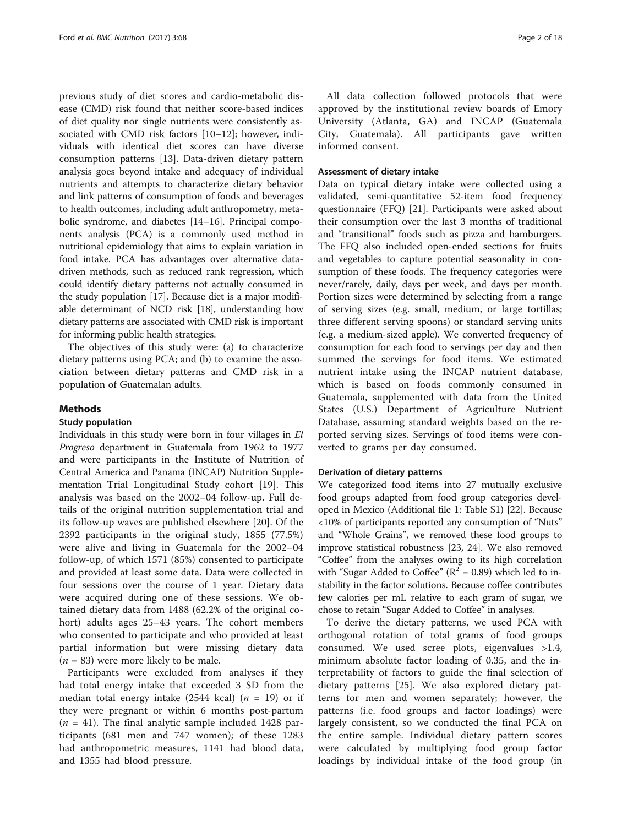previous study of diet scores and cardio-metabolic disease (CMD) risk found that neither score-based indices of diet quality nor single nutrients were consistently associated with CMD risk factors [\[10](#page-16-0)–[12\]](#page-16-0); however, individuals with identical diet scores can have diverse consumption patterns [[13\]](#page-16-0). Data-driven dietary pattern analysis goes beyond intake and adequacy of individual nutrients and attempts to characterize dietary behavior and link patterns of consumption of foods and beverages to health outcomes, including adult anthropometry, metabolic syndrome, and diabetes [\[14](#page-16-0)–[16](#page-16-0)]. Principal components analysis (PCA) is a commonly used method in nutritional epidemiology that aims to explain variation in food intake. PCA has advantages over alternative datadriven methods, such as reduced rank regression, which could identify dietary patterns not actually consumed in the study population [\[17](#page-16-0)]. Because diet is a major modifiable determinant of NCD risk [[18](#page-16-0)], understanding how dietary patterns are associated with CMD risk is important for informing public health strategies.

The objectives of this study were: (a) to characterize dietary patterns using PCA; and (b) to examine the association between dietary patterns and CMD risk in a population of Guatemalan adults.

#### Methods

#### Study population

Individuals in this study were born in four villages in El Progreso department in Guatemala from 1962 to 1977 and were participants in the Institute of Nutrition of Central America and Panama (INCAP) Nutrition Supplementation Trial Longitudinal Study cohort [\[19](#page-16-0)]. This analysis was based on the 2002–04 follow-up. Full details of the original nutrition supplementation trial and its follow-up waves are published elsewhere [\[20](#page-16-0)]. Of the 2392 participants in the original study, 1855 (77.5%) were alive and living in Guatemala for the 2002–04 follow-up, of which 1571 (85%) consented to participate and provided at least some data. Data were collected in four sessions over the course of 1 year. Dietary data were acquired during one of these sessions. We obtained dietary data from 1488 (62.2% of the original cohort) adults ages 25–43 years. The cohort members who consented to participate and who provided at least partial information but were missing dietary data  $(n = 83)$  were more likely to be male.

Participants were excluded from analyses if they had total energy intake that exceeded 3 SD from the median total energy intake (2544 kcal) ( $n = 19$ ) or if they were pregnant or within 6 months post-partum  $(n = 41)$ . The final analytic sample included 1428 participants (681 men and 747 women); of these 1283 had anthropometric measures, 1141 had blood data, and 1355 had blood pressure.

All data collection followed protocols that were approved by the institutional review boards of Emory University (Atlanta, GA) and INCAP (Guatemala City, Guatemala). All participants gave written informed consent.

#### Assessment of dietary intake

Data on typical dietary intake were collected using a validated, semi-quantitative 52-item food frequency questionnaire (FFQ) [[21\]](#page-16-0). Participants were asked about their consumption over the last 3 months of traditional and "transitional" foods such as pizza and hamburgers. The FFQ also included open-ended sections for fruits and vegetables to capture potential seasonality in consumption of these foods. The frequency categories were never/rarely, daily, days per week, and days per month. Portion sizes were determined by selecting from a range of serving sizes (e.g. small, medium, or large tortillas; three different serving spoons) or standard serving units (e.g. a medium-sized apple). We converted frequency of consumption for each food to servings per day and then summed the servings for food items. We estimated nutrient intake using the INCAP nutrient database, which is based on foods commonly consumed in Guatemala, supplemented with data from the United States (U.S.) Department of Agriculture Nutrient Database, assuming standard weights based on the reported serving sizes. Servings of food items were converted to grams per day consumed.

#### Derivation of dietary patterns

We categorized food items into 27 mutually exclusive food groups adapted from food group categories developed in Mexico (Additional file [1:](#page-15-0) Table S1) [[22](#page-16-0)]. Because <10% of participants reported any consumption of "Nuts" and "Whole Grains", we removed these food groups to improve statistical robustness [\[23, 24](#page-16-0)]. We also removed "Coffee" from the analyses owing to its high correlation with "Sugar Added to Coffee"  $(R^2 = 0.89)$  which led to instability in the factor solutions. Because coffee contributes few calories per mL relative to each gram of sugar, we chose to retain "Sugar Added to Coffee" in analyses.

To derive the dietary patterns, we used PCA with orthogonal rotation of total grams of food groups consumed. We used scree plots, eigenvalues >1.4, minimum absolute factor loading of 0.35, and the interpretability of factors to guide the final selection of dietary patterns [[25](#page-16-0)]. We also explored dietary patterns for men and women separately; however, the patterns (i.e. food groups and factor loadings) were largely consistent, so we conducted the final PCA on the entire sample. Individual dietary pattern scores were calculated by multiplying food group factor loadings by individual intake of the food group (in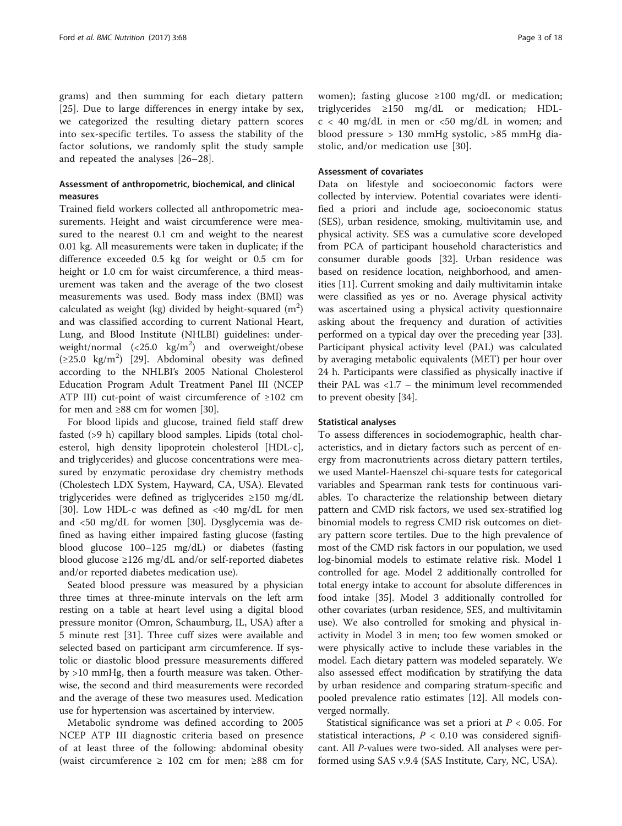grams) and then summing for each dietary pattern [[25\]](#page-16-0). Due to large differences in energy intake by sex, we categorized the resulting dietary pattern scores into sex-specific tertiles. To assess the stability of the factor solutions, we randomly split the study sample and repeated the analyses [[26](#page-16-0)–[28\]](#page-16-0).

#### Assessment of anthropometric, biochemical, and clinical measures

Trained field workers collected all anthropometric measurements. Height and waist circumference were measured to the nearest 0.1 cm and weight to the nearest 0.01 kg. All measurements were taken in duplicate; if the difference exceeded 0.5 kg for weight or 0.5 cm for height or 1.0 cm for waist circumference, a third measurement was taken and the average of the two closest measurements was used. Body mass index (BMI) was calculated as weight (kg) divided by height-squared  $(m^2)$ and was classified according to current National Heart, Lung, and Blood Institute (NHLBI) guidelines: underweight/normal  $(<25.0 \text{ kg/m}^2$ ) and overweight/obese $(\geq 25.0 \text{ kg/m}^2)$  [[29\]](#page-16-0). Abdominal obesity was defined according to the NHLBI's 2005 National Cholesterol Education Program Adult Treatment Panel III (NCEP ATP III) cut-point of waist circumference of ≥102 cm for men and ≥88 cm for women [[30](#page-16-0)].

For blood lipids and glucose, trained field staff drew fasted (>9 h) capillary blood samples. Lipids (total cholesterol, high density lipoprotein cholesterol [HDL-c], and triglycerides) and glucose concentrations were measured by enzymatic peroxidase dry chemistry methods (Cholestech LDX System, Hayward, CA, USA). Elevated triglycerides were defined as triglycerides ≥150 mg/dL [[30\]](#page-16-0). Low HDL-c was defined as <40 mg/dL for men and <50 mg/dL for women [\[30\]](#page-16-0). Dysglycemia was defined as having either impaired fasting glucose (fasting blood glucose 100–125 mg/dL) or diabetes (fasting blood glucose ≥126 mg/dL and/or self-reported diabetes and/or reported diabetes medication use).

Seated blood pressure was measured by a physician three times at three-minute intervals on the left arm resting on a table at heart level using a digital blood pressure monitor (Omron, Schaumburg, IL, USA) after a 5 minute rest [[31\]](#page-16-0). Three cuff sizes were available and selected based on participant arm circumference. If systolic or diastolic blood pressure measurements differed by >10 mmHg, then a fourth measure was taken. Otherwise, the second and third measurements were recorded and the average of these two measures used. Medication use for hypertension was ascertained by interview.

Metabolic syndrome was defined according to 2005 NCEP ATP III diagnostic criteria based on presence of at least three of the following: abdominal obesity (waist circumference  $\geq 102$  cm for men;  $\geq 88$  cm for triglycerides ≥150 mg/dL or medication; HDL $c < 40$  mg/dL in men or  $< 50$  mg/dL in women; and blood pressure > 130 mmHg systolic, >85 mmHg diastolic, and/or medication use [\[30](#page-16-0)].

#### Assessment of covariates

Data on lifestyle and socioeconomic factors were collected by interview. Potential covariates were identified a priori and include age, socioeconomic status (SES), urban residence, smoking, multivitamin use, and physical activity. SES was a cumulative score developed from PCA of participant household characteristics and consumer durable goods [[32](#page-16-0)]. Urban residence was based on residence location, neighborhood, and amenities [\[11](#page-16-0)]. Current smoking and daily multivitamin intake were classified as yes or no. Average physical activity was ascertained using a physical activity questionnaire asking about the frequency and duration of activities performed on a typical day over the preceding year [\[33](#page-16-0)]. Participant physical activity level (PAL) was calculated by averaging metabolic equivalents (MET) per hour over 24 h. Participants were classified as physically inactive if their PAL was <1.7 – the minimum level recommended to prevent obesity [\[34](#page-16-0)].

#### Statistical analyses

To assess differences in sociodemographic, health characteristics, and in dietary factors such as percent of energy from macronutrients across dietary pattern tertiles, we used Mantel-Haenszel chi-square tests for categorical variables and Spearman rank tests for continuous variables. To characterize the relationship between dietary pattern and CMD risk factors, we used sex-stratified log binomial models to regress CMD risk outcomes on dietary pattern score tertiles. Due to the high prevalence of most of the CMD risk factors in our population, we used log-binomial models to estimate relative risk. Model 1 controlled for age. Model 2 additionally controlled for total energy intake to account for absolute differences in food intake [[35](#page-16-0)]. Model 3 additionally controlled for other covariates (urban residence, SES, and multivitamin use). We also controlled for smoking and physical inactivity in Model 3 in men; too few women smoked or were physically active to include these variables in the model. Each dietary pattern was modeled separately. We also assessed effect modification by stratifying the data by urban residence and comparing stratum-specific and pooled prevalence ratio estimates [[12](#page-16-0)]. All models converged normally.

Statistical significance was set a priori at  $P < 0.05$ . For statistical interactions,  $P < 0.10$  was considered significant. All P-values were two-sided. All analyses were performed using SAS v.9.4 (SAS Institute, Cary, NC, USA).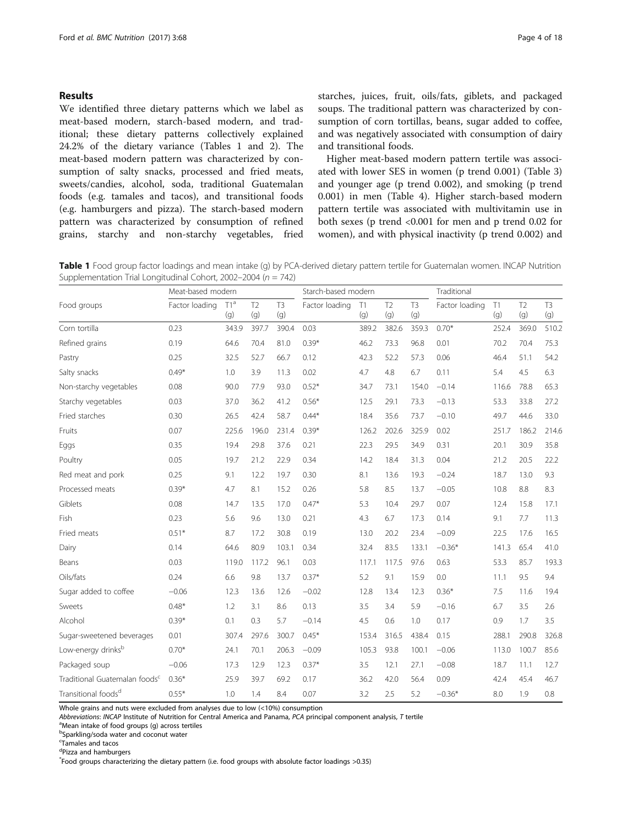#### Results

We identified three dietary patterns which we label as meat-based modern, starch-based modern, and traditional; these dietary patterns collectively explained 24.2% of the dietary variance (Tables 1 and [2](#page-4-0)). The meat-based modern pattern was characterized by consumption of salty snacks, processed and fried meats, sweets/candies, alcohol, soda, traditional Guatemalan foods (e.g. tamales and tacos), and transitional foods (e.g. hamburgers and pizza). The starch-based modern pattern was characterized by consumption of refined grains, starchy and non-starchy vegetables, fried starches, juices, fruit, oils/fats, giblets, and packaged soups. The traditional pattern was characterized by consumption of corn tortillas, beans, sugar added to coffee, and was negatively associated with consumption of dairy and transitional foods.

Higher meat-based modern pattern tertile was associated with lower SES in women (p trend 0.001) (Table [3](#page-5-0)) and younger age (p trend 0.002), and smoking (p trend 0.001) in men (Table [4](#page-7-0)). Higher starch-based modern pattern tertile was associated with multivitamin use in both sexes (p trend <0.001 for men and p trend 0.02 for women), and with physical inactivity (p trend 0.002) and

Table 1 Food group factor loadings and mean intake (g) by PCA-derived dietary pattern tertile for Guatemalan women. INCAP Nutrition Supplementation Trial Longitudinal Cohort, 2002–2004 ( $n = 742$ )

|                                           | Meat-based modern |                        |                       |                       | Starch-based modern |           |                       |           | Traditional    |           |                       |                       |
|-------------------------------------------|-------------------|------------------------|-----------------------|-----------------------|---------------------|-----------|-----------------------|-----------|----------------|-----------|-----------------------|-----------------------|
| Food groups                               | Factor loading    | T1 <sup>a</sup><br>(q) | T <sub>2</sub><br>(q) | T <sub>3</sub><br>(q) | Factor loading      | T1<br>(q) | T <sub>2</sub><br>(q) | T3<br>(g) | Factor loading | T1<br>(q) | T <sub>2</sub><br>(g) | T <sub>3</sub><br>(g) |
| Corn tortilla                             | 0.23              | 343.9                  | 397.7                 | 390.4                 | 0.03                | 389.2     | 382.6                 | 359.3     | $0.70*$        | 252.4     | 369.0                 | 510.2                 |
| Refined grains                            | 0.19              | 64.6                   | 70.4                  | 81.0                  | $0.39*$             | 46.2      | 73.3                  | 96.8      | 0.01           | 70.2      | 70.4                  | 75.3                  |
| Pastry                                    | 0.25              | 32.5                   | 52.7                  | 66.7                  | 0.12                | 42.3      | 52.2                  | 57.3      | 0.06           | 46.4      | 51.1                  | 54.2                  |
| Salty snacks                              | $0.49*$           | 1.0                    | 3.9                   | 11.3                  | 0.02                | 4.7       | 4.8                   | 6.7       | 0.11           | 5.4       | 4.5                   | 6.3                   |
| Non-starchy vegetables                    | 0.08              | 90.0                   | 77.9                  | 93.0                  | $0.52*$             | 34.7      | 73.1                  | 154.0     | $-0.14$        | 116.6     | 78.8                  | 65.3                  |
| Starchy vegetables                        | 0.03              | 37.0                   | 36.2                  | 41.2                  | $0.56*$             | 12.5      | 29.1                  | 73.3      | $-0.13$        | 53.3      | 33.8                  | 27.2                  |
| Fried starches                            | 0.30              | 26.5                   | 42.4                  | 58.7                  | $0.44*$             | 18.4      | 35.6                  | 73.7      | $-0.10$        | 49.7      | 44.6                  | 33.0                  |
| Fruits                                    | 0.07              | 225.6                  | 196.0                 | 231.4                 | $0.39*$             | 126.2     | 202.6                 | 325.9     | 0.02           | 251.7     | 186.2                 | 214.6                 |
| Eggs                                      | 0.35              | 19.4                   | 29.8                  | 37.6                  | 0.21                | 22.3      | 29.5                  | 34.9      | 0.31           | 20.1      | 30.9                  | 35.8                  |
| Poultry                                   | 0.05              | 19.7                   | 21.2                  | 22.9                  | 0.34                | 14.2      | 18.4                  | 31.3      | 0.04           | 21.2      | 20.5                  | 22.2                  |
| Red meat and pork                         | 0.25              | 9.1                    | 12.2                  | 19.7                  | 0.30                | 8.1       | 13.6                  | 19.3      | $-0.24$        | 18.7      | 13.0                  | 9.3                   |
| Processed meats                           | $0.39*$           | 4.7                    | 8.1                   | 15.2                  | 0.26                | 5.8       | 8.5                   | 13.7      | $-0.05$        | 10.8      | 8.8                   | 8.3                   |
| Giblets                                   | 0.08              | 14.7                   | 13.5                  | 17.0                  | $0.47*$             | 5.3       | 10.4                  | 29.7      | 0.07           | 12.4      | 15.8                  | 17.1                  |
| Fish                                      | 0.23              | 5.6                    | 9.6                   | 13.0                  | 0.21                | 4.3       | 6.7                   | 17.3      | 0.14           | 9.1       | 7.7                   | 11.3                  |
| Fried meats                               | $0.51*$           | 8.7                    | 17.2                  | 30.8                  | 0.19                | 13.0      | 20.2                  | 23.4      | $-0.09$        | 22.5      | 17.6                  | 16.5                  |
| Dairy                                     | 0.14              | 64.6                   | 80.9                  | 103.1                 | 0.34                | 32.4      | 83.5                  | 133.1     | $-0.36*$       | 141.3     | 65.4                  | 41.0                  |
| Beans                                     | 0.03              | 119.0                  | 117.2                 | 96.1                  | 0.03                | 117.1     | 117.5                 | 97.6      | 0.63           | 53.3      | 85.7                  | 193.3                 |
| Oils/fats                                 | 0.24              | 6.6                    | 9.8                   | 13.7                  | $0.37*$             | 5.2       | 9.1                   | 15.9      | 0.0            | 11.1      | 9.5                   | 9.4                   |
| Sugar added to coffee                     | $-0.06$           | 12.3                   | 13.6                  | 12.6                  | $-0.02$             | 12.8      | 13.4                  | 12.3      | $0.36*$        | 7.5       | 11.6                  | 19.4                  |
| Sweets                                    | $0.48*$           | 1.2                    | 3.1                   | 8.6                   | 0.13                | 3.5       | 3.4                   | 5.9       | $-0.16$        | 6.7       | 3.5                   | 2.6                   |
| Alcohol                                   | $0.39*$           | 0.1                    | 0.3                   | 5.7                   | $-0.14$             | 4.5       | 0.6                   | 1.0       | 0.17           | 0.9       | 1.7                   | 3.5                   |
| Sugar-sweetened beverages                 | 0.01              | 307.4                  | 297.6                 | 300.7                 | $0.45*$             | 153.4     | 316.5                 | 438.4     | 0.15           | 288.1     | 290.8                 | 326.8                 |
| Low-energy drinksb                        | $0.70*$           | 24.1                   | 70.1                  | 206.3                 | $-0.09$             | 105.3     | 93.8                  | 100.1     | $-0.06$        | 113.0     | 100.7                 | 85.6                  |
| Packaged soup                             | $-0.06$           | 17.3                   | 12.9                  | 12.3                  | $0.37*$             | 3.5       | 12.1                  | 27.1      | $-0.08$        | 18.7      | 11.1                  | 12.7                  |
| Traditional Guatemalan foods <sup>c</sup> | $0.36*$           | 25.9                   | 39.7                  | 69.2                  | 0.17                | 36.2      | 42.0                  | 56.4      | 0.09           | 42.4      | 45.4                  | 46.7                  |
| Transitional foods <sup>d</sup>           | $0.55*$           | 1.0                    | 1.4                   | 8.4                   | 0.07                | 3.2       | 2.5                   | 5.2       | $-0.36*$       | 8.0       | 1.9                   | 0.8                   |

Whole grains and nuts were excluded from analyses due to low (<10%) consumption

Abbreviations: INCAP Institute of Nutrition for Central America and Panama, PCA principal component analysis, T tertile

<sup>a</sup>Mean intake of food groups (g) across tertiles

b Sparkling/soda water and coconut water

c Tamales and tacos

<sup>d</sup>Pizza and hamburgers

\* Food groups characterizing the dietary pattern (i.e. food groups with absolute factor loadings >0.35)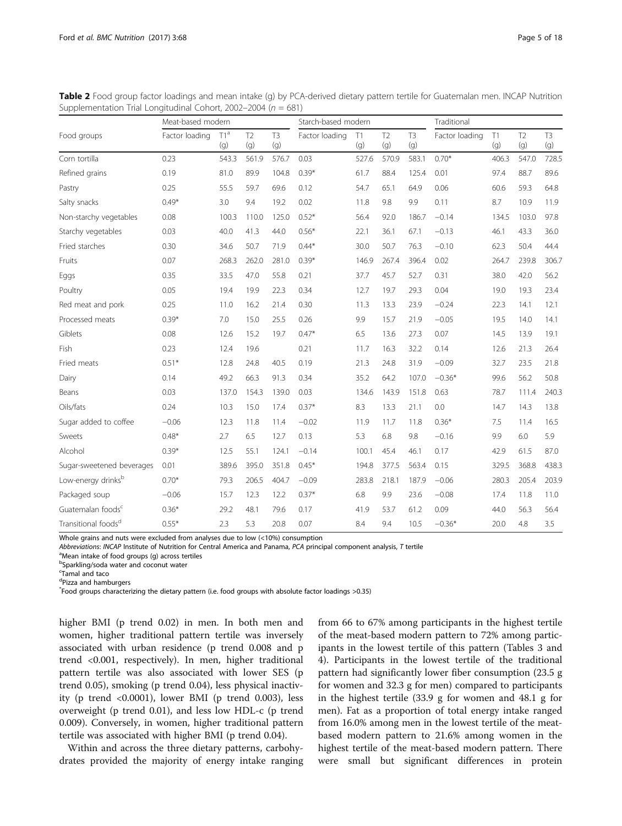|                                 | Meat-based modern |                        |                       |                       | Starch-based modern |           |                       |                       | Traditional    |           |                       |                       |
|---------------------------------|-------------------|------------------------|-----------------------|-----------------------|---------------------|-----------|-----------------------|-----------------------|----------------|-----------|-----------------------|-----------------------|
| Food groups                     | Factor loading    | T1 <sup>a</sup><br>(g) | T <sub>2</sub><br>(g) | T <sub>3</sub><br>(g) | Factor loading      | T1<br>(g) | T <sub>2</sub><br>(g) | T <sub>3</sub><br>(g) | Factor loading | T1<br>(q) | T <sub>2</sub><br>(q) | T <sub>3</sub><br>(g) |
| Corn tortilla                   | 0.23              | 543.3                  | 561.9                 | 576.7                 | 0.03                | 527.6     | 570.9                 | 583.1                 | $0.70*$        | 406.3     | 547.0                 | 728.5                 |
| Refined grains                  | 0.19              | 81.0                   | 89.9                  | 104.8                 | $0.39*$             | 61.7      | 88.4                  | 125.4                 | 0.01           | 97.4      | 88.7                  | 89.6                  |
| Pastry                          | 0.25              | 55.5                   | 59.7                  | 69.6                  | 0.12                | 54.7      | 65.1                  | 64.9                  | 0.06           | 60.6      | 59.3                  | 64.8                  |
| Salty snacks                    | $0.49*$           | 3.0                    | 9.4                   | 19.2                  | 0.02                | 11.8      | 9.8                   | 9.9                   | 0.11           | 8.7       | 10.9                  | 11.9                  |
| Non-starchy vegetables          | 0.08              | 100.3                  | 110.0                 | 125.0                 | $0.52*$             | 56.4      | 92.0                  | 186.7                 | $-0.14$        | 134.5     | 103.0                 | 97.8                  |
| Starchy vegetables              | 0.03              | 40.0                   | 41.3                  | 44.0                  | $0.56*$             | 22.1      | 36.1                  | 67.1                  | $-0.13$        | 46.1      | 43.3                  | 36.0                  |
| Fried starches                  | 0.30              | 34.6                   | 50.7                  | 71.9                  | $0.44*$             | 30.0      | 50.7                  | 76.3                  | $-0.10$        | 62.3      | 50.4                  | 44.4                  |
| Fruits                          | 0.07              | 268.3                  | 262.0                 | 281.0                 | $0.39*$             | 146.9     | 267.4                 | 396.4                 | 0.02           | 264.7     | 239.8                 | 306.7                 |
| Eggs                            | 0.35              | 33.5                   | 47.0                  | 55.8                  | 0.21                | 37.7      | 45.7                  | 52.7                  | 0.31           | 38.0      | 42.0                  | 56.2                  |
| Poultry                         | 0.05              | 19.4                   | 19.9                  | 22.3                  | 0.34                | 12.7      | 19.7                  | 29.3                  | 0.04           | 19.0      | 19.3                  | 23.4                  |
| Red meat and pork               | 0.25              | 11.0                   | 16.2                  | 21.4                  | 0.30                | 11.3      | 13.3                  | 23.9                  | $-0.24$        | 22.3      | 14.1                  | 12.1                  |
| Processed meats                 | $0.39*$           | 7.0                    | 15.0                  | 25.5                  | 0.26                | 9.9       | 15.7                  | 21.9                  | $-0.05$        | 19.5      | 14.0                  | 14.1                  |
| Giblets                         | 0.08              | 12.6                   | 15.2                  | 19.7                  | $0.47*$             | 6.5       | 13.6                  | 27.3                  | 0.07           | 14.5      | 13.9                  | 19.1                  |
| Fish                            | 0.23              | 12.4                   | 19.6                  |                       | 0.21                | 11.7      | 16.3                  | 32.2                  | 0.14           | 12.6      | 21.3                  | 26.4                  |
| Fried meats                     | $0.51*$           | 12.8                   | 24.8                  | 40.5                  | 0.19                | 21.3      | 24.8                  | 31.9                  | $-0.09$        | 32.7      | 23.5                  | 21.8                  |
| Dairy                           | 0.14              | 49.2                   | 66.3                  | 91.3                  | 0.34                | 35.2      | 64.2                  | 107.0                 | $-0.36*$       | 99.6      | 56.2                  | 50.8                  |
| Beans                           | 0.03              | 137.0                  | 154.3                 | 139.0                 | 0.03                | 134.6     | 143.9                 | 151.8                 | 0.63           | 78.7      | 111.4                 | 240.3                 |
| Oils/fats                       | 0.24              | 10.3                   | 15.0                  | 17.4                  | $0.37*$             | 8.3       | 13.3                  | 21.1                  | 0.0            | 14.7      | 14.3                  | 13.8                  |
| Sugar added to coffee           | $-0.06$           | 12.3                   | 11.8                  | 11.4                  | $-0.02$             | 11.9      | 11.7                  | 11.8                  | $0.36*$        | 7.5       | 11.4                  | 16.5                  |
| Sweets                          | $0.48*$           | 2.7                    | 6.5                   | 12.7                  | 0.13                | 5.3       | 6.8                   | 9.8                   | $-0.16$        | 9.9       | 6.0                   | 5.9                   |
| Alcohol                         | $0.39*$           | 12.5                   | 55.1                  | 124.1                 | $-0.14$             | 100.1     | 45.4                  | 46.1                  | 0.17           | 42.9      | 61.5                  | 87.0                  |
| Sugar-sweetened beverages       | 0.01              | 389.6                  | 395.0                 | 351.8                 | $0.45*$             | 194.8     | 377.5                 | 563.4                 | 0.15           | 329.5     | 368.8                 | 438.3                 |
| Low-energy drinksb              | $0.70*$           | 79.3                   | 206.5                 | 404.7                 | $-0.09$             | 283.8     | 218.1                 | 187.9                 | $-0.06$        | 280.3     | 205.4                 | 203.9                 |
| Packaged soup                   | $-0.06$           | 15.7                   | 12.3                  | 12.2                  | $0.37*$             | 6.8       | 9.9                   | 23.6                  | $-0.08$        | 17.4      | 11.8                  | 11.0                  |
| Guatemalan foods <sup>c</sup>   | $0.36*$           | 29.2                   | 48.1                  | 79.6                  | 0.17                | 41.9      | 53.7                  | 61.2                  | 0.09           | 44.0      | 56.3                  | 56.4                  |
| Transitional foods <sup>d</sup> | $0.55*$           | 2.3                    | 5.3                   | 20.8                  | 0.07                | 8.4       | 9.4                   | 10.5                  | $-0.36*$       | 20.0      | 4.8                   | 3.5                   |

<span id="page-4-0"></span>Table 2 Food group factor loadings and mean intake (g) by PCA-derived dietary pattern tertile for Guatemalan men. INCAP Nutrition Supplementation Trial Longitudinal Cohort, 2002–2004 ( $n = 681$ )

Whole grains and nuts were excluded from analyses due to low (<10%) consumption

Abbreviations: INCAP Institute of Nutrition for Central America and Panama, PCA principal component analysis, T tertile

<sup>a</sup>Mean intake of food groups (g) across tertiles

b Sparkling/soda water and coconut water

<sup>c</sup>Tamal and taco

<sup>d</sup>Pizza and hamburgers

\* Food groups characterizing the dietary pattern (i.e. food groups with absolute factor loadings >0.35)

higher BMI (p trend 0.02) in men. In both men and women, higher traditional pattern tertile was inversely associated with urban residence (p trend 0.008 and p trend <0.001, respectively). In men, higher traditional pattern tertile was also associated with lower SES (p trend 0.05), smoking (p trend 0.04), less physical inactivity (p trend <0.0001), lower BMI (p trend 0.003), less overweight (p trend 0.01), and less low HDL-c (p trend 0.009). Conversely, in women, higher traditional pattern tertile was associated with higher BMI (p trend 0.04).

Within and across the three dietary patterns, carbohydrates provided the majority of energy intake ranging

from 66 to 67% among participants in the highest tertile of the meat-based modern pattern to 72% among participants in the lowest tertile of this pattern (Tables [3](#page-5-0) and [4\)](#page-7-0). Participants in the lowest tertile of the traditional pattern had significantly lower fiber consumption (23.5 g for women and 32.3 g for men) compared to participants in the highest tertile (33.9 g for women and 48.1 g for men). Fat as a proportion of total energy intake ranged from 16.0% among men in the lowest tertile of the meatbased modern pattern to 21.6% among women in the highest tertile of the meat-based modern pattern. There were small but significant differences in protein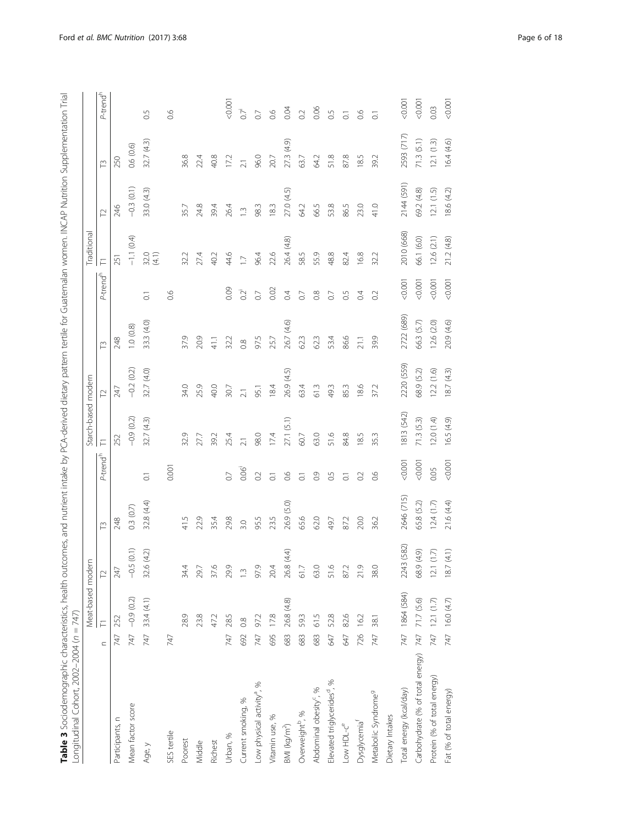| Ī<br>5<br>-<br>٦<br>ł                                                                                                                       |                                 |
|---------------------------------------------------------------------------------------------------------------------------------------------|---------------------------------|
| ļ<br>Ì<br>j<br>j<br>ļ<br>$\frac{1}{2}$<br>١<br>į<br>Į<br>ž                                                                                  |                                 |
| 5<br>)<br>i<br>١<br>:<br>j                                                                                                                  |                                 |
| )<br>-<br>-<br>$\ddot{\phantom{0}}$<br>$\overline{ }$<br>ļ<br>١<br>١<br>Ï<br>$\frac{1}{4}$                                                  |                                 |
| j<br>:<br>)<br>5<br>5<br>j<br>ţ<br>i<br>١<br>į<br>$\frac{1}{2}$<br>I<br>I                                                                   |                                 |
| ţ<br>Ì<br>֦֦֦֦֦֦֦֦֧֦֦֧֦֦֦֦֧֦֧֦֧֦֧֧֦֧֧֦֧֧֦֧֧֦֧֧֦֧֦֧֧֦֧֧֦֧֦֧֚֚֚֚֚֚֚֚֚֚֚֚֡֘֝֡֘֡֡֡֓֡֓֡֓֡֓֡֓֡֓֓֓֓֓֓֓<br>and the same company<br>j<br>ļ<br>J<br>ì |                                 |
| 5)<br>)<br>i<br>5<br>i<br>)<br>J<br>ī<br>I<br>l<br>j<br>j<br>d<br>j<br>i<br>Ì<br>I<br>໌<br>$\overline{\phantom{a}}$                         |                                 |
| Ì<br>ì<br>֦֦֦֦֦֦֧֦֦֦֦֦֧֦֦֧֧֧֧֧֧֧֦֧֧֦֧֧֦֧֧֦֧֧֦֚֚֚֚֚֚֚֚֚֚֚֡֘֡֡֡֓֡֡֓֡֓֡֓֡֬֓֓֡֡֓֡֓֡֡֓֓֓֓֓֓֓֓֓֓֓<br>j<br>Ì<br>J                                  |                                 |
| j<br>ļ<br>Ī<br>i<br>ļ<br>ik jau<br>Ï<br>$\frac{1}{2}$                                                                                       |                                 |
| ¢<br>J<br>I<br>l<br>Ì                                                                                                                       |                                 |
| $-24.7 + 0.4$<br>J<br>i<br>l<br>i<br>l<br>י<br>י                                                                                            | ĺ<br>į<br>ľ<br>I<br>l<br>Į<br>l |
| l<br>I<br>í.<br>Ï<br>i<br>١<br>l<br>ׅ֘֒<br>l<br>I<br>١<br>İ<br>j<br>I                                                                       | Į<br>J<br>Ï<br>ţ                |
| ١<br>ĺ                                                                                                                                      | ١<br>ļ<br>)<br>J                |

<span id="page-5-0"></span>

| Longitudinal Cohort, 2002-2004 (n = 747) |           | Meat-based modern |                   |            |                      | Starch-based modern |                 |               |                      | Traditional         |               |             |                      |
|------------------------------------------|-----------|-------------------|-------------------|------------|----------------------|---------------------|-----------------|---------------|----------------------|---------------------|---------------|-------------|----------------------|
|                                          | $\subset$ | $\Box$            | Ľ                 | Ľ          | P-trend <sup>h</sup> | $\Box$              | Ľ               | Ľ             | P-trend <sup>h</sup> | $\overline{\Gamma}$ | P             | F           | P-trend <sup>h</sup> |
| Participants, n                          | 747 252   |                   | 247               | 248        |                      | 252                 | 247             | 248           |                      | 251                 | 246           | 250         |                      |
| Mean factor score                        |           | $747 - 0.9(0.2)$  | $\odot$<br>$-0.5$ | 0.3(0.7)   |                      | $-0.9$ (0.2)        | $-0.2(0.2)$     | 1.0(0.8)      |                      | $-1.1(0.4)$         | $-0.3(0.1)$   | 0.6(0.6)    |                      |
| Age, y                                   | 747       | 33.4 (4.1)        | 4.2<br>32.6(      | 32.8 (4.4) | $\overline{\circ}$   | 32.7(4.3)           | 32.7 (4.0)      | 33.3 (4.0)    | $\overline{\circ}$   | 32.0<br>(4.1)       | 33.0 (4.3)    | 32.7(4.3)   | 0.5                  |
| SES tertile                              | 747       |                   |                   |            | 0.001                |                     |                 |               | 66                   |                     |               |             | 0.6                  |
| Poorest                                  |           | 289               | 34.4              | 41.5       |                      | 32.9                | 34.0            | 37.9          |                      | 32.2                | 35.7          | 36.8        |                      |
| Middle                                   |           | 23.8              | 29.7              | 22.9       |                      | 27.7                | 25.9            | 20.9          |                      | 27.4                | 24.8          | 22.4        |                      |
| Richest                                  |           | 47.2              | 37.6              | 35.4       |                      | 39.2                | 40.0            | 41.1          |                      | 40.2                | 39.4          | 40.8        |                      |
| Urban, %                                 | 747       | 285               | 29.9              | 29.8       | $\overline{0}$       | 25.4                | 30.7            | 32.2          | 0.09                 | 44,6                | 26.4          | 17.2        | &0.001               |
| Current smoking, %                       | 692       | $\frac{8}{2}$     | $\frac{3}{2}$     | 3.0        | 0.06                 | $\overline{2.1}$    | $\overline{21}$ | $\frac{8}{2}$ | 0.2                  | $\overline{1}$      | $\frac{1}{2}$ |             | $\bar{C}$            |
| Low physical activity <sup>2</sup> , %   | 747       | 97.2              | 97.9              | 95.5       | 0.2                  | 98.0                | 95.1            | 97.5          | $\circlearrowright$  | 96.4                | 98.3          | 96.0        | $\overline{0}$       |
| Vitamin use, %                           | 695       | 17.8              | 20.4              | 23.5       | $\overline{\circ}$   | 17.4                | 18.4            | 25.7          | 0.02                 | 22.6                | 18.3          | 20.7        | 0.6                  |
| BM (kg/m <sup>2</sup> )                  | 683       | 26.8 (4.8)        | 26.8 (4.4)        | 26.9 (5.0) | 0.6                  | 27.1 (5.1)          | 26.9 (4.5)      | 26.7 (4.6)    | $\overline{0}$       | 26.4 (4.8)          | 27.0 (4.5)    | 27.3 (4.9)  | 0.04                 |
| Overweight <sup>b</sup> , %              | 683       | 593               | 61.7              | 65.6       | $\overline{\circ}$   | 60.7                | 63.4            | 623           | $\overline{C}$       | 585                 | 64.2          | 63.7        | $\overline{0}$       |
| Abdominal obesity <sup>c</sup> , %       | 683       | 61.5              | 63.0              | 62.0       | 0.9                  | 63.0                | 61.3            | 623           | $\frac{8}{2}$        | 55.9                | 66.5          | 64.2        | 0.06                 |
| Elevated triglycerides <sup>9</sup> , %  | 647       | 52.8              | 51.6              | 49.7       | $\overline{0.5}$     | 51.6                | 49.3            | 53.4          | $\overline{0}$       | 48.8                | 53.8          | 51.8        | 65                   |
| Low HDL-Ce                               | 647       | 82.6              | 87.2              | 87.2       | $\overline{C}$       | 84.8                | 85.3            | 86.6          | 65                   | 82.4                | 86.5          | 87.8        | $\overline{\circ}$   |
| Dysglycemiaf                             | 726 16.2  |                   | 21.9              | 20.0       | $\Omega$             | 18.5                | 18.6            | 21.1          | 0.4                  | 168                 | 23.0          | L<br>$\leq$ | 66                   |
| Metabolic Syndrome <sup>9</sup>          | 747       | 38.1              | 38.0              | 36.2       | 0.6                  | 35.3                | 37.2            | 39.9          | $\Omega$             | 32.2                | 41.0          | 39.2        | $\overline{\circ}$   |
| Dietary Intakes                          |           |                   |                   |            |                      |                     |                 |               |                      |                     |               |             |                      |
| Total energy (kcal/day)                  |           | 747 1864 (584)    | (582)<br>2243     | 2646 (715) | 0.001                | 1813 (542)          | 2220 (559)      | 2722 (689)    | 0.0001               | 2010 (668)          | 2144 (591)    | 2593 (717)  | 0.001                |
| Carbohydrate (% of total energy)         |           | 747 71.7 (5.6)    | 68.9 (4.9)        | 65.8 (5.2) | 0.001                | 71.3(5.3)           | 68.9 (5.2)      | 66.3 (5.7)    | 0.0001               | 66.1 (6.0)          | 69.2 (4.8)    | 71.3(5.1)   | 0.001                |
| Protein (% of total energy)              |           | 747 12.1 (1.7)    | 12.1(1.7)         | 12.4(1.7)  | 0.05                 | 12.0(1.4)           | 12.2(1.6)       | 12.6 (2.0)    | 0.001                | 12.6(2.1)           | 12.1(1.5)     | 12.1(1.3)   | 0.03                 |
| Fat (% of total energy)                  |           | 747 16.0 (4.7)    | 4.1)<br>18.7      | 21.6 (4.4) | 0.001                | 16.5(4.9)           | 18.7(4.3)       | 20.9 (4.6)    | 0.0001               | $(4.8)$<br>21.2     | 18.6 (4.2)    | 16.4(4.6)   | 0.001                |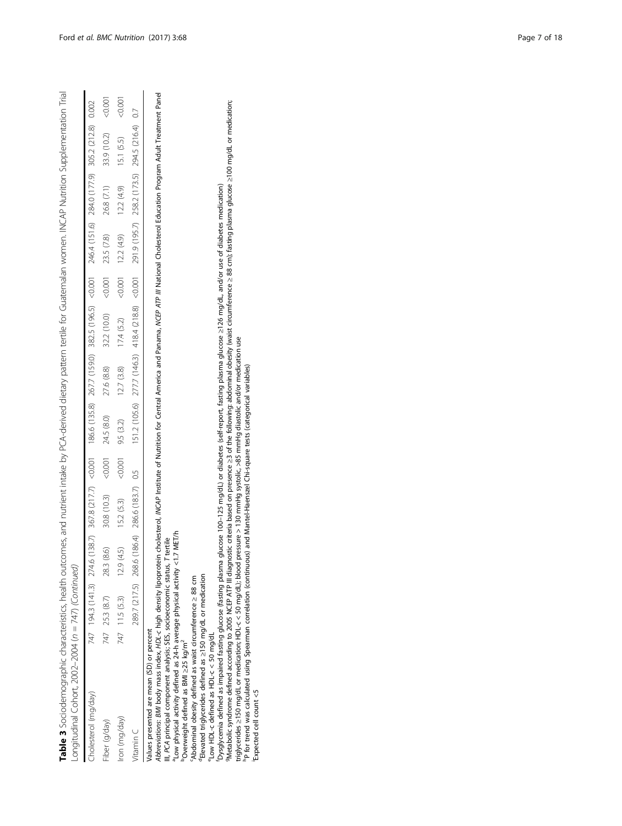| Table 3 Sociodemographic characteristics, health outcomes, and nutrient intake by PCA-derived dietary pattern tertile for Guatemalan women. INCAP Nutrition Supplementation Trial<br>ongitudinal Cohort, 2002-2004 ( $n = 747$ ) (Continued) |                                                                                                                                              |                                               |             |       |            |            |                                                                                                               |         |            |            |             |         |
|----------------------------------------------------------------------------------------------------------------------------------------------------------------------------------------------------------------------------------------------|----------------------------------------------------------------------------------------------------------------------------------------------|-----------------------------------------------|-------------|-------|------------|------------|---------------------------------------------------------------------------------------------------------------|---------|------------|------------|-------------|---------|
| holesterol (mg/day)                                                                                                                                                                                                                          | 744 (134.3) 27446 (138.7) 3678 (217.7) <0.0001 1866 (135.8) 267.7 (199.0) 382.5 (196.5) <0.001 246.4 (151.6) 284.0 (17.9) 3052 (212.8) 0.002 |                                               |             |       |            |            |                                                                                                               |         |            |            |             |         |
| iber (g/day)                                                                                                                                                                                                                                 | 747 25.3 (8.7)                                                                                                                               | 28.3 (8.6)                                    | 30.8 (10.3) | 0.001 | 24.5 (8.0) | 27.6 (8.8) | 32.2 (10.0)                                                                                                   | 0.001   | 23.5 (7.8) | 26.8 (7.1) | 33.9 (10.2) | < 0.001 |
| Iron (mg/day)                                                                                                                                                                                                                                | 747 11.5 (5.3)                                                                                                                               | 12.9(4.5)                                     | 15.2 (5.3)  | 0.001 | 9.5(3.2)   | 12.7(3.8)  | 17.4(5.2)                                                                                                     | < 0.001 | 12.2(4.9)  | 12.2(4.9)  | 15.1 (5.5)  | 50,001  |
| Tramin C                                                                                                                                                                                                                                     |                                                                                                                                              | 289.7 (217.5) 268.6 (186.4) 286.6 (183.7) 0.5 |             |       |            |            | $151.2(105.6)$ $277.7(146.3)$ $418.4(218.8)$ $<$ $Q0.001$ $291.5$ $Q15.7$ $258.2(173.5)$ $294.5(216.4)$ $0.7$ |         |            |            |             |         |
| Values presented are mean (SD) or percent                                                                                                                                                                                                    |                                                                                                                                              |                                               |             |       |            |            |                                                                                                               |         |            |            |             |         |

Values presented are mean (SD) or percent

Abbreviations: BMI body mass index, HDL-c high density lipoprotein cholesterol, INCAP Institute of Nutrition for Central America and Panama, NCEP ATP III National Cholesterol Education Program Adult Treatment Panel<br>III, PC Abbreviations: BMI body mass index, HDL-c high density lipoprotein cholesterol, INCAP Institute of Nutrition for Central America and Panama, NCEP ATP III National Cholesterol Education Program Adult Treatment Panel III, PCA principal component analysis; SES, socioeconomic status, T tertile

a Low physical activity defined as 24-h average physical activity <1.7 MET/h aLow physical activity defined as 24-h average physical activity <1.7 MET/h

 $b$ Overweight defined as BMI  $\geq$ 25 kg/m<sup>2</sup>

 $b_{\text{Overweight}}$  defined as BMI  $\geq$ 35 kg/m<sup>2</sup><br>"Abdominal obesity defined as waist circumference  $\geq$  88 cm<br>"Elevated triglycerides defined as  $\geq$ 150 mg/dL or medication<br>"Low HDL-c defined as HDL-c < 50 mg/dL dElevated triglycerides defined as ≥150 mg/dL or medication cAbdominal obesity defined as waist circumference ≥ 88 cm

Dysglycemia defined as impaired fasting glucose (fasting plasma glucose 100–125 mg/dL) or diabetes (self-report, fasting plasma glucose ≥126 mg/dL, and/or use of diabetes medication) fDysglycemia defined as impaired fasting glucose (fasting plasma glucose 100–125 mg/dL) or diabetes (self-report, fasting plasma glucose ≥126 mg/dL, and/or use of diabetes medication) eLow HDL-c defined as HDL-c < 50 mg/dL

%Metabolic syndrome defined according to 2005 NCEP ATP ill diagnostic criteria based on presence ≥3 of the following: abdominal obesity (waist circumference ≥ 88 cm); fasting plasma glucose ≥100 mg/dL or medication; Metabolic syndrome defined according to 2005 NCEP ATP III diagnostic criteria based on presence ≥3 of the following: abdominal obesity (waist circumference ≥ 88 cm); fasting plasma glucose ≥100 mg/dL or medication;

triglycerides ≥150 mg/dL or medication; HDL-c < 50 mg/dL); blood pressure > 130 mmHg systolic, >85 mmHg diastolic and/or medication use<br><sup>h</sup>P for trend was calculated using Spearman correlation (continuous) and Mantel-Haens triglycerides ≥150 mg/dL or medication; HDL-c < 50 mg/dL); blood pressure > 130 mmHg systolic, >85 mmHg diastolic and/or medication use

hP for trend was calculated using Spearman correlation (continuous) and Mantel-Haenszel Chi-square tests (categorical variables) Expected cell count <5 iExpected cell count <5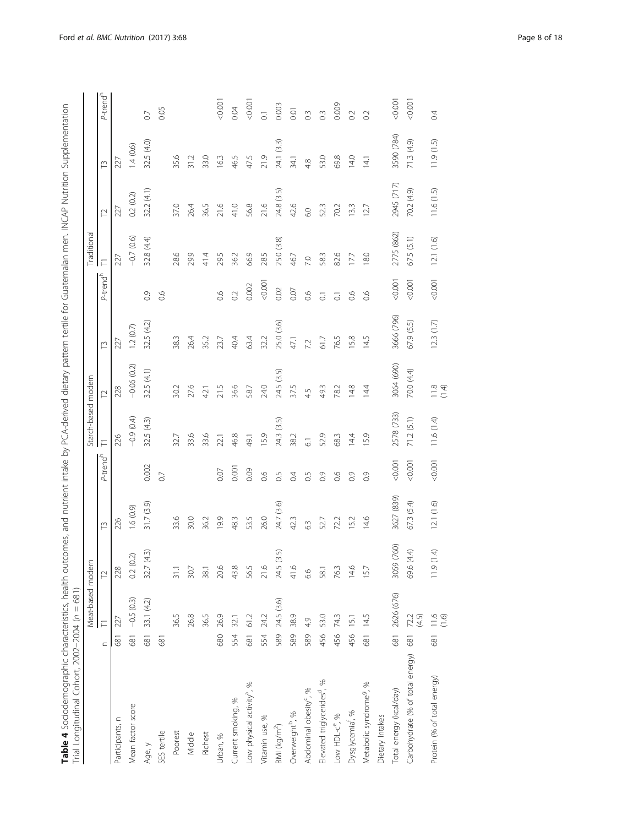| ţ<br>$\ddot{\epsilon}$<br>J<br>;<br>;<br>į<br>t<br>:<br>j                     |                                                                                                                   |
|-------------------------------------------------------------------------------|-------------------------------------------------------------------------------------------------------------------|
| s<br>S                                                                        |                                                                                                                   |
| $\frac{1}{1}$<br>١<br> <br> <br> <br>;<br>;<br>;<br>) ;<br>ι                  |                                                                                                                   |
| こくこうしょう こうしょう こちょう こうしょう こうしょうこう<br>シュシュン ニリン<br>1<br>)<br>)<br>)             |                                                                                                                   |
| )<br>-<br> <br> <br> <br> <br>こて へいぶっこく<br>うりこりつ                              |                                                                                                                   |
| )<br>-<br>.<br>$\epsilon$<br>ì                                                |                                                                                                                   |
|                                                                               |                                                                                                                   |
| outcomes and nutrient intake rive<br>j<br>$\frac{1}{2}$<br>$\frac{1}{2}$<br>ś |                                                                                                                   |
| J<br>١<br>١<br>I                                                              | S                                                                                                                 |
| ١<br>I<br>۱<br>i<br>l<br>I<br>j                                               | $\overline{\mathbf{I}}$<br>ţ<br>$\frac{1}{2}$<br>)<br>$\overline{\phantom{a}}$<br>Į<br>l<br>d<br>Į<br>١<br>١<br>l |
| ļ<br>:<br>i<br>١<br>į<br>ţ<br>Ō<br>֕<br>ł<br>١<br>l<br>I                      | $\overline{\phantom{a}}$<br>I<br>J<br>I<br>J<br>l<br>ś                                                            |
| j<br>ī<br>d                                                                   | j<br>j<br>$\overline{ }$<br>$\frac{1}{2}$<br>Ï<br>۱<br>۱<br>l                                                     |

<span id="page-7-0"></span>

| Trial Longitudinal Cohort, 2002-2004 (n = 681) |           |                   |                           |                  |                      |                     |                  |            |                      |             |            |                  |                      |
|------------------------------------------------|-----------|-------------------|---------------------------|------------------|----------------------|---------------------|------------------|------------|----------------------|-------------|------------|------------------|----------------------|
|                                                |           | Meat-based modern |                           |                  |                      | Starch-based modern |                  |            |                      | Traditional |            |                  |                      |
|                                                | $\subset$ | Ē                 | T2                        | $\tilde{\Gamma}$ | P-trend <sup>h</sup> | $\overline{\Gamma}$ | $\tilde{\Gamma}$ | r          | P-trend <sup>h</sup> | $\sqsubset$ | <b>Z</b>   | $\tilde{\Gamma}$ | P-trend <sup>h</sup> |
| Participants, n                                | 681       | 227               | 228                       | 226              |                      | 226                 | 228              | 227        |                      | 227         | 227        | 227              |                      |
| Mean factor score                              | 681       | $-0.5(0.3)$       | 0.2(0.2)                  | 1.6(0.9)         |                      | $-0.9(0.4)$         | $-0.06(0.2)$     | 1.2 (0.7)  |                      | $-0.7(0.6)$ | 0.2(0.2)   | 1.4(0.6)         |                      |
| Age, y                                         | 681       | 33.1 (4.2)        | 32.7(4.3)                 | 31.7 (3.9)       | 0.002                | 32.5 (4.3)          | 32.5 (4.1)       | 32.5 (4.2) | $\overline{0}$       | 32.8 (4.4)  | 32.2 (4.1) | 32.5 (4.0)       | $\overline{C}$       |
| SES tertile                                    | 681       |                   |                           |                  | $\overline{C}$       |                     |                  |            | 0.6                  |             |            |                  | 0.05                 |
| Poorest                                        |           | 36.5              | 31.1                      | 33.6             |                      | 32.7                | 30.2             | 38.3       |                      | 28.6        | 37.0       | 35.6             |                      |
| Middle                                         |           | 26.8              | 30.7                      | 30.0             |                      | 33.6                | 27.6             | 26.4       |                      | 29.9        | 26.4       | 31.2             |                      |
| Richest                                        |           | 36.5              | 38.1                      | 36.2             |                      | 33.6                | 42.1             | 35.2       |                      | 41.4        | 36.5       | 33.0             |                      |
| Urban, %                                       | 680       | 26.9              | 20.6                      | 19.9             | 0.07                 | 22.1                | 21.5             | 23.7       | 0.6                  | 29.5        | 21.6       | 163              | 0.001                |
| Current smoking, %                             | 554       | 32.1              | 43.8                      | 48.3             | 0.001                | 46.8                | 36.6             | 40.4       | $\overline{0}$       | 36.2        | 41.0       | 46.5             | 0.04                 |
| Low physical activity <sup>2</sup> , %         | 681       | 61.2              | 56.5                      | 53.5             | 0.09                 | 49.1                | 587              | 63.4       | 0.002                | 66.9        | 56.8       | 47.5             | 0.001                |
| Vitamin use, %                                 | 554       | 24.2              | 21.6                      | 26.0             | 66                   | 15.9                | 24.0             | 32.2       | 0000                 | 28.5        | 21.6       | 21.9             | $\overline{0}$ .     |
| BMI (kg/m <sup>2</sup> )                       | 589       | 24.5 (3.6)        | 5<br>24.5 (3.             | 24.7 (3.6)       | 65                   | 24.3 (3.5)          | 24.5 (3.5)       | 25.0 (3.6) | 0.02                 | 25.0 (3.8)  | 24.8 (3.5) | 24.1 (3.3)       | 0.003                |
| Overweight <sup>b</sup> , %                    | 589       | 38.9              | 41.6                      | 42.3             | 0.4                  | 38.2                | 375              | 47.1       | 0.07                 | 46.7        | 42.6       | 34.1             | 0.01                 |
| Abdominal obesity <sup>c</sup> , %             | 589       | 4.9               | 6.6                       | 6.3              | 0.5                  | $\overline{6}$      | 4.5              | 72         | 66                   | 20          | 6.0        | 4.8              | $\odot$              |
| Elevated triglycerides <sup>d</sup> , %        | 456       | 53.0              | 58.1                      | 52.7             | $\overline{0}$       | 52.9                | 493              | 61.7       | $\overline{c}$       | 58.3        | 52.3       | 53.0             | $\overline{0}$       |
| Low HDL-ce, %                                  | 456       | 74.3              | 76.3                      | 72.2             | 66                   | 68.3                | 782              | 76.5       | $\overline{\circ}$   | 82.6        | 70.2       | 69.8             | 0.009                |
| Dysglycemia <sup>f</sup> , %                   | 456       | 15.1              | 14.6                      | 15.2             | $\overline{0}$       | 14.4                | 14.8             | 15.8       | $\frac{6}{10}$       | 17.7        | 13.3       | 14.0             | 0.2                  |
| Metabolic syndrome <sup>9</sup> , %            | 681       | 14.5              | 15.7                      | 14.6             | 0.9                  | 5.9                 | 144              | 14.5       | 0.6                  | 18.0        | 12.7       | $\frac{1}{4}$    | $\overline{0}$       |
| Dietary Intakes                                |           |                   |                           |                  |                      |                     |                  |            |                      |             |            |                  |                      |
| Total energy (kcal/day)                        | 681       | 2626 (676)        | 3059 (760)                | 3627 (839)       | 0.001                | 2578 (733)          | 3064 (690)       | 3666 (796) | 0.0001               | 2775 (862)  | 2945 (717) | 3590 (784)       | 0.001                |
| Carbohydrate (% of total energy)               | 681       | 72.3)             | $\widehat{+}$<br>69.6 (4. | 67.3 (5.4)       | 0.001                | 71.2(5.1)           | 70.0 (4.4)       | 67.9(5.5)  | 0.0001               | 67.5 (5.1)  | 70.2 (4.9) | $(4.9)$<br>71.3  | 0.001                |
| Protein (% of total energy)                    | 681       | $\frac{16}{10}$   | 11.9(1.4)                 | 12.1(1.6)        | 0.001                | 11.6(1.4)           | $\frac{3}{10}$   | 12.3(1.7)  | 0.001                | 12.1(1.6)   | 11.6(1.5)  | (1.9(1.5)        | 0.4                  |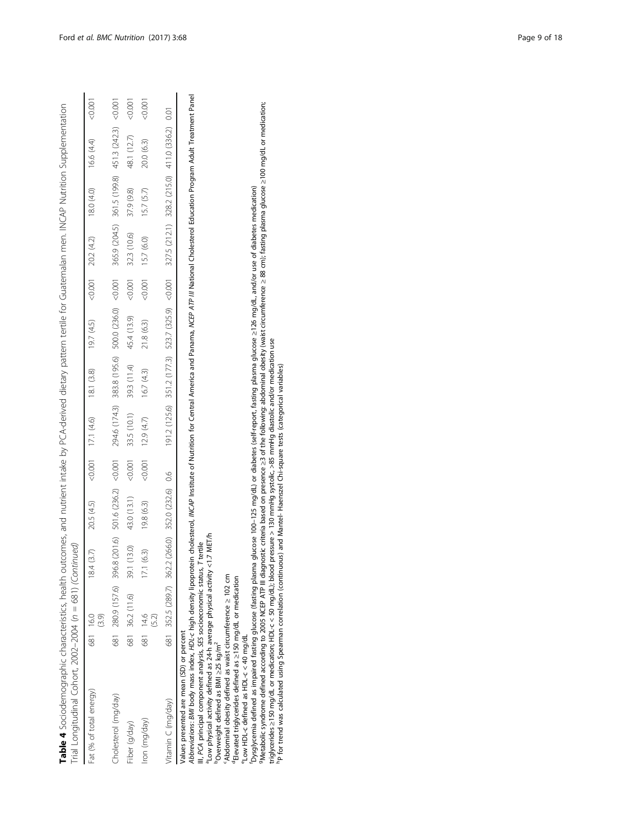| Table 4 Sociodemographic characteristics, health outcomes, and nutrient intake by PCA-derived dietary pattern tertile for Guatemalan men. INCAP Nutrition Supplementation                                                                                                                                                                                                                                                                                                                                                                                                                                        |                   |                                                                                                      |             |       |                                                                                                  |            |             |        |                    |            |                                                   |        |
|------------------------------------------------------------------------------------------------------------------------------------------------------------------------------------------------------------------------------------------------------------------------------------------------------------------------------------------------------------------------------------------------------------------------------------------------------------------------------------------------------------------------------------------------------------------------------------------------------------------|-------------------|------------------------------------------------------------------------------------------------------|-------------|-------|--------------------------------------------------------------------------------------------------|------------|-------------|--------|--------------------|------------|---------------------------------------------------|--------|
| Trial Longitudinal Cohort, 2002-2004 (n = 681) (Continued)                                                                                                                                                                                                                                                                                                                                                                                                                                                                                                                                                       |                   |                                                                                                      |             |       |                                                                                                  |            |             |        |                    |            |                                                   |        |
| Fat (% of total energy)                                                                                                                                                                                                                                                                                                                                                                                                                                                                                                                                                                                          | 681 16.0<br>(3.9) | (3.7)<br>18.4(                                                                                       | 20.5 (4.5)  |       | $0.001$ 17.1 $(4.6)$                                                                             | 18.1 (3.8) | 19.7 (4.5)  |        | $0.001$ 20.2 (4.2) | 18.0 (4.0) | 16.6 (4.4)                                        | &0.001 |
| Cholesterol (mg/day)                                                                                                                                                                                                                                                                                                                                                                                                                                                                                                                                                                                             |                   | 681 280.9(157.6) 396.8(201.6) 501.6(236.2) <0.0001 294.3) 383.8(195.6) 50001 <0.001 681 283.8(195.6) |             |       |                                                                                                  |            |             |        |                    |            | 365.9 (204.5) 361.5 (199.8) 451.3 (242.3) < 0.001 |        |
| Fiber (g/day)                                                                                                                                                                                                                                                                                                                                                                                                                                                                                                                                                                                                    | 681 36.2 (11.6)   | 39.1 (13.0)                                                                                          | 43.0 (13.1) | 0.001 | 33.5 (10.1)                                                                                      | 393 (11.4) | 45.4 (13.9) | 0.0001 | 32.3 (10.6)        | 37.9 (9.8) | 48.1 (12.7)                                       | &0.001 |
| Iron (ma/day)                                                                                                                                                                                                                                                                                                                                                                                                                                                                                                                                                                                                    | 681 14.6<br>(5.2) | (6.3)<br>17.1 <sup>7</sup>                                                                           | 19.8 (6.3)  |       | (4.7)                                                                                            | 16.7(4.3)  | 21.8(6.3)   |        | (0.001 15.7(6.0))  | 15.7(5.7)  | 20.0 (6.3)                                        | &0.001 |
| Vitamin C (mg/day)                                                                                                                                                                                                                                                                                                                                                                                                                                                                                                                                                                                               |                   | 681 352.5 (289.7) 362.2 (266.0) 352.0 (232.6) 0.6                                                    |             |       | $197.2(125.6)$ 351.2 (177.3) 523.7 (325.9) <0.001 327.5 (212.1) 328.2 (215.0) 411.0 (336.2) 0.01 |            |             |        |                    |            |                                                   |        |
| Abbreviations: BMI body mass index, HDL-c high density lipoprotein cholesterol, MCAP Institute of Nutrition for Central America and Panama, NCEP ATP III National Cholesterol Education Program Adult Treatment Panel<br>III, PCA principal component analysis, SES socioeconomic status, T<br>PLow physical activity defined as 24-h average physical activity <1<br>'Abdominal obesity defined as waist circumference $\geq 102$ cm<br>Elevated triglycerides defined as ≥150 mg/dL or medication<br>Values presented are mean (SD) or percent<br><sup>9</sup> Overweight defined as BMI ≥25 kg/m <sup>2</sup> |                   | .7 MET/h<br>tertile                                                                                  |             |       |                                                                                                  |            |             |        |                    |            |                                                   |        |

 $\frac{1}{2}$ J  $\epsilon$  $\ddot{\cdot}$ l,  $\overline{\mathcal{C}}$  $\overline{\phantom{a}}$  $\frac{1}{2}$ ू<br>र

eLow HDL-c defined as HDL-c < 40 mg/dL

fDysglycemia defined as impaired fasting glucose (fasting plasma glucose 100–125 mg/dL) or diabetes (self-report, fasting plasma glucose ≥126 mg/dL, and/or use of diabetes medication)

°Low HDL-c défined as HDL-c < 40 mg/dL<br>'Dysglycemia defined as impaired fasting plasma glucose 100–125 mg/dL) or diabetes (self-report, fasting plasma glucose ≥126 mg/dL, and/or use of diabetes medication)<br>°Metabolic synd Metabolic syndrome defined according to 2005 NCEP ATP III diagnostic criteria based on presence ≥3 of the following: abdominal obesity (waist circumference ≥ 88 cm); fasting plasma glucose ≥100 mg/dL or medication; triglycerides ≥150 mg/dL or medication; HDL-c < 50 mg/dL); blood pressure > 130 mmHg systolic, >85 mmHg diastolic and/or medication use

hP for trend was calculated using Spearman correlation (continuous) and Mantel- Haenszel Chi-square tests (categorical variables)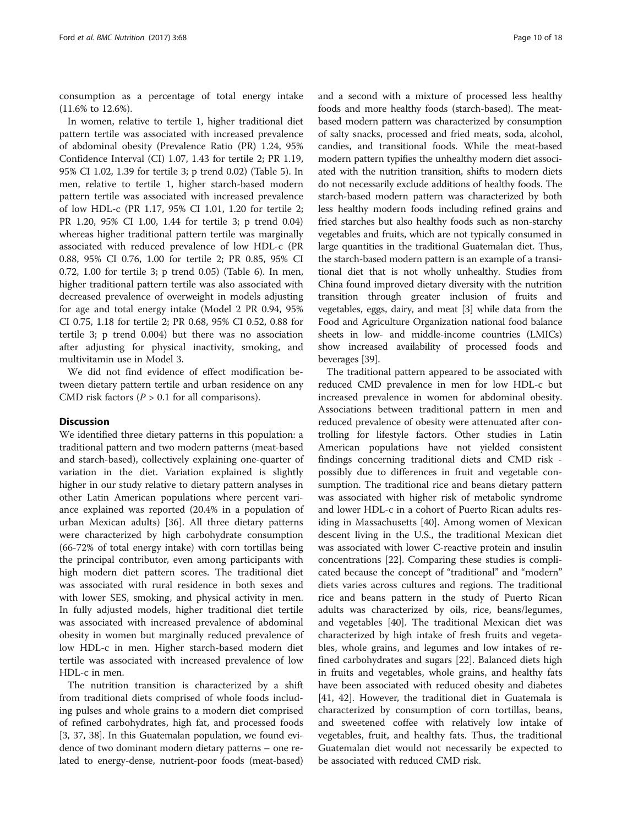consumption as a percentage of total energy intake (11.6% to 12.6%).

In women, relative to tertile 1, higher traditional diet pattern tertile was associated with increased prevalence of abdominal obesity (Prevalence Ratio (PR) 1.24, 95% Confidence Interval (CI) 1.07, 1.43 for tertile 2; PR 1.19, 95% CI 1.02, 1.39 for tertile 3; p trend 0.02) (Table [5](#page-10-0)). In men, relative to tertile 1, higher starch-based modern pattern tertile was associated with increased prevalence of low HDL-c (PR 1.17, 95% CI 1.01, 1.20 for tertile 2; PR 1.20, 95% CI 1.00, 1.44 for tertile 3; p trend 0.04) whereas higher traditional pattern tertile was marginally associated with reduced prevalence of low HDL-c (PR 0.88, 95% CI 0.76, 1.00 for tertile 2; PR 0.85, 95% CI 0.72, 1.00 for tertile 3; p trend 0.05) (Table [6](#page-12-0)). In men, higher traditional pattern tertile was also associated with decreased prevalence of overweight in models adjusting for age and total energy intake (Model 2 PR 0.94, 95% CI 0.75, 1.18 for tertile 2; PR 0.68, 95% CI 0.52, 0.88 for tertile 3; p trend 0.004) but there was no association after adjusting for physical inactivity, smoking, and multivitamin use in Model 3.

We did not find evidence of effect modification between dietary pattern tertile and urban residence on any CMD risk factors ( $P > 0.1$  for all comparisons).

#### **Discussion**

We identified three dietary patterns in this population: a traditional pattern and two modern patterns (meat-based and starch-based), collectively explaining one-quarter of variation in the diet. Variation explained is slightly higher in our study relative to dietary pattern analyses in other Latin American populations where percent variance explained was reported (20.4% in a population of urban Mexican adults) [\[36](#page-16-0)]. All three dietary patterns were characterized by high carbohydrate consumption (66-72% of total energy intake) with corn tortillas being the principal contributor, even among participants with high modern diet pattern scores. The traditional diet was associated with rural residence in both sexes and with lower SES, smoking, and physical activity in men. In fully adjusted models, higher traditional diet tertile was associated with increased prevalence of abdominal obesity in women but marginally reduced prevalence of low HDL-c in men. Higher starch-based modern diet tertile was associated with increased prevalence of low HDL-c in men.

The nutrition transition is characterized by a shift from traditional diets comprised of whole foods including pulses and whole grains to a modern diet comprised of refined carbohydrates, high fat, and processed foods [[3,](#page-15-0) [37, 38\]](#page-16-0). In this Guatemalan population, we found evidence of two dominant modern dietary patterns – one related to energy-dense, nutrient-poor foods (meat-based) and a second with a mixture of processed less healthy foods and more healthy foods (starch-based). The meatbased modern pattern was characterized by consumption of salty snacks, processed and fried meats, soda, alcohol, candies, and transitional foods. While the meat-based modern pattern typifies the unhealthy modern diet associated with the nutrition transition, shifts to modern diets do not necessarily exclude additions of healthy foods. The starch-based modern pattern was characterized by both less healthy modern foods including refined grains and fried starches but also healthy foods such as non-starchy vegetables and fruits, which are not typically consumed in large quantities in the traditional Guatemalan diet. Thus, the starch-based modern pattern is an example of a transitional diet that is not wholly unhealthy. Studies from China found improved dietary diversity with the nutrition transition through greater inclusion of fruits and vegetables, eggs, dairy, and meat [\[3](#page-15-0)] while data from the Food and Agriculture Organization national food balance sheets in low- and middle-income countries (LMICs) show increased availability of processed foods and beverages [\[39\]](#page-16-0).

The traditional pattern appeared to be associated with reduced CMD prevalence in men for low HDL-c but increased prevalence in women for abdominal obesity. Associations between traditional pattern in men and reduced prevalence of obesity were attenuated after controlling for lifestyle factors. Other studies in Latin American populations have not yielded consistent findings concerning traditional diets and CMD risk possibly due to differences in fruit and vegetable consumption. The traditional rice and beans dietary pattern was associated with higher risk of metabolic syndrome and lower HDL-c in a cohort of Puerto Rican adults residing in Massachusetts [[40\]](#page-16-0). Among women of Mexican descent living in the U.S., the traditional Mexican diet was associated with lower C-reactive protein and insulin concentrations [[22\]](#page-16-0). Comparing these studies is complicated because the concept of "traditional" and "modern" diets varies across cultures and regions. The traditional rice and beans pattern in the study of Puerto Rican adults was characterized by oils, rice, beans/legumes, and vegetables [\[40](#page-16-0)]. The traditional Mexican diet was characterized by high intake of fresh fruits and vegetables, whole grains, and legumes and low intakes of refined carbohydrates and sugars [[22](#page-16-0)]. Balanced diets high in fruits and vegetables, whole grains, and healthy fats have been associated with reduced obesity and diabetes [[41, 42](#page-16-0)]. However, the traditional diet in Guatemala is characterized by consumption of corn tortillas, beans, and sweetened coffee with relatively low intake of vegetables, fruit, and healthy fats. Thus, the traditional Guatemalan diet would not necessarily be expected to be associated with reduced CMD risk.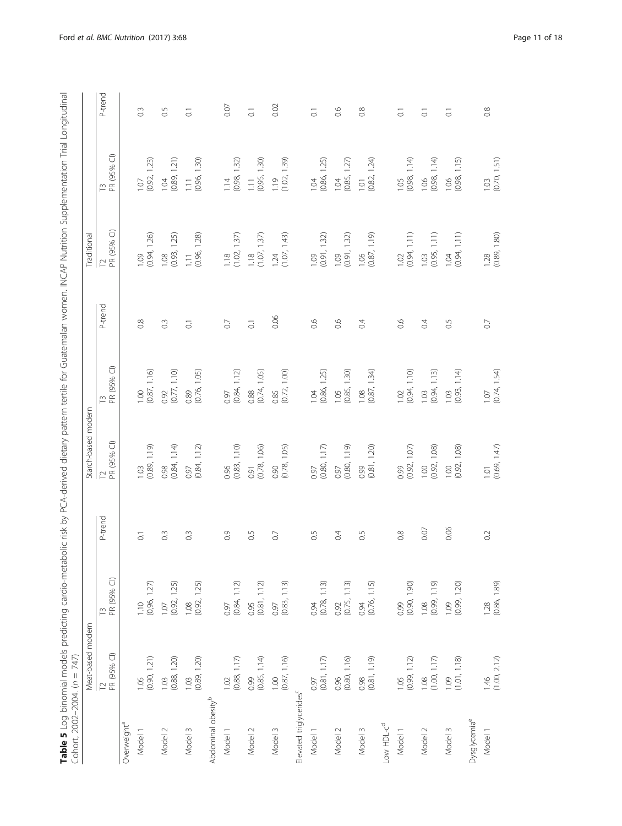| i<br>j                                                                                                                                                              |                   |
|---------------------------------------------------------------------------------------------------------------------------------------------------------------------|-------------------|
| l<br>֖֖֖֚֚֚֚֚֡֝֬<br>j<br>j                                                                                                                                          |                   |
| Ì<br>ׇ֚֬֡<br>$\mathbf{r}$<br>ļ                                                                                                                                      |                   |
| $\frac{1}{2}$<br>j                                                                                                                                                  |                   |
| d                                                                                                                                                                   |                   |
| I<br>i                                                                                                                                                              |                   |
| $-1 + 1 = 1$                                                                                                                                                        |                   |
| 5<br>J                                                                                                                                                              |                   |
| J                                                                                                                                                                   |                   |
| ļ<br>j<br>ì                                                                                                                                                         |                   |
| ś<br>İ<br>j                                                                                                                                                         |                   |
| ׇ֬֘                                                                                                                                                                 |                   |
|                                                                                                                                                                     |                   |
|                                                                                                                                                                     |                   |
|                                                                                                                                                                     |                   |
|                                                                                                                                                                     |                   |
| I                                                                                                                                                                   |                   |
| į<br>j                                                                                                                                                              |                   |
|                                                                                                                                                                     |                   |
| j<br>Ò                                                                                                                                                              |                   |
| j<br>i                                                                                                                                                              |                   |
| $\ddot{\phantom{0}}$<br>֧֧֧֦֧֦֧֧֧֧֧֧֧֧֧֧֧֧֧֧֧֧֧֧֧֚֚֚֚֚֚֚֚֚֚֚֚֚֚֚֚֚֘֝֓֕֓֕֓֕֓֓֝֓֟֓֝֓֝֓֝֬֝֓֝֓֝֓֝֓֝֓֝֓֝֓֝֬֝֓֝֬֝֓֝֬֝֓֝֬֝֓֝֬֝֝֬֝֬֝֬֝֬֝֝<br>֧֢֧֧֧֧֧֧֧֧֧֛֛֛֛֚֚֚֝֝֜֜֜֜֝<br>l |                   |
| 5<br>I                                                                                                                                                              |                   |
| j                                                                                                                                                                   |                   |
| l                                                                                                                                                                   |                   |
| hartila tor                                                                                                                                                         |                   |
| $-12$                                                                                                                                                               |                   |
|                                                                                                                                                                     |                   |
|                                                                                                                                                                     |                   |
|                                                                                                                                                                     |                   |
| 5<br>5<br>5<br>5<br>5                                                                                                                                               |                   |
| l<br>$\frac{5}{2}$<br>l                                                                                                                                             |                   |
| $\ddot{\cdot}$<br>-<br>J                                                                                                                                            |                   |
| ;<br>.<br>ľ                                                                                                                                                         |                   |
| $\frac{1}{1}$<br>$\frac{1}{2}$                                                                                                                                      |                   |
| ا<br>نمایہ                                                                                                                                                          |                   |
| į                                                                                                                                                                   |                   |
| r<br>E<br>j                                                                                                                                                         |                   |
| ibolic                                                                                                                                                              |                   |
| z<br>۰<br>$\frac{1}{\sqrt{2}}$                                                                                                                                      |                   |
|                                                                                                                                                                     |                   |
| ٦<br>֖֖֖֖֪ׅ֪ׅ֖֧֪ׅ֖֚֚֚֚֚֚֚֚֚֚֚֚֚֚֚֚֚֚֚֚֬֝֝֝֝֝֝                                                                                                                       |                   |
| j<br>¢<br>֖֖֖֖֖֖֧ׅ֧֚֚֚֚֚֚֚֚֚֚֚֚֚֚֚֚֚֚֚֚֚֚֚֚֚֚֚֬֝֝֓֞<br>l<br>J                                                                                                       |                   |
|                                                                                                                                                                     |                   |
| Ì<br>j<br>$\mathbf{r}$                                                                                                                                              |                   |
| j<br>j<br>j                                                                                                                                                         |                   |
| ₹<br>֖֖֖֖֖֖֖֧ׅׅ֖֧ׅ֖֖֧֧֪֪֪ׅ֖֧֧֚֚֚֚֚֚֚֚֚֚֚֚֚֚֚֚֚֚֚֚֚֚֚֚֡֬֝֝֝֝֓֞֝֝֬֝<br>ļ<br>l<br>J                                                                                    |                   |
| ļ<br>į<br>ŗ<br>J                                                                                                                                                    |                   |
| 5<br>¢<br>٦<br>֖֖֖ׅׅׅׅ֧ׅ֚֚֚֚֚֚֚֚֚֚֚֚֚֚֡֬֝֓֡֡֡֡֓֡֡֡֝֬֜֓֡֬                                                                                                            | ľ<br>₹            |
|                                                                                                                                                                     | l<br>$\mathbf{I}$ |
| $\sim$<br>֖֖֢ׅ֖֖ׅׅ֪ׅ֖֪ׅ֖֚֚֚֚֚֚֚֚֚֚֚֚֚֚֚֚֚֚֚֚֚֚֚֚֡֝֝                                                                                                                 |                   |
| is                                                                                                                                                                  |                   |
| j<br>Ŝ                                                                                                                                                              | )<br> }<br>1<br>I |
| Ì<br>i<br>١                                                                                                                                                         | ໌<br>ເ            |
|                                                                                                                                                                     | <br> <br> <br>    |
| able 5 $\cup$                                                                                                                                                       | Ì                 |

<span id="page-10-0"></span>

| Cohort, 2002–2004. (n = 747)        | Meat-based modern                                   |                             |                    | Starch-based modern                                 |                                                     |                         | Traditional                                         |                                                     |                       |
|-------------------------------------|-----------------------------------------------------|-----------------------------|--------------------|-----------------------------------------------------|-----------------------------------------------------|-------------------------|-----------------------------------------------------|-----------------------------------------------------|-----------------------|
|                                     | PR (95% CI)                                         | T3<br>PR (95% Cl)           | P-trend            | PR (95% CI)                                         | $\widehat{\cup}$<br>T3<br>PR (95% 0                 | P-trend                 | T2<br>PR (95% Cl)                                   | $\widehat{\cup}$<br>T3<br>PR (95% 0                 | P-trend               |
| Overweight <sup>a</sup>             |                                                     |                             |                    |                                                     |                                                     |                         |                                                     |                                                     |                       |
| Model 1                             | (0.90, 1.21)                                        | $\frac{1.10}{(0.96, 1.27)}$ | $\overline{\circ}$ | (0.89, 1.19)<br>1.03                                | (0.87, 1.16)<br>1.00                                | $\frac{8}{2}$           | 1.26<br>(0.94,<br>1.09                              | 1.23)<br>(0.92,<br>1.07                             | $\degree$             |
| Model 2                             | $\frac{1.03}{(0.88, 1.20)}$                         | $\frac{1.07}{(0.92, 1.25)}$ | $\frac{3}{2}$      | $0.98$<br>$(0.84, 1.14)$                            | $0.92$<br>$(0.77, 1.10)$                            | $\widetilde{\circ}$     | 1.25<br>$1.08$<br>$(0.93)$                          | 1.21)<br>$104$<br>$(0.89)$                          | 65                    |
| Model 3                             | $\frac{1.03}{(0.89, 1.20)}$                         | $\frac{1.08}{(0.92, 1.25)}$ | $\mathbb{C}^3$     | (0.84, 1.12)<br>0.97                                | 0.89<br>(0.76, 1.05)                                | $\overline{\circ}$      | $\frac{1.11}{(0.96, 1.28)}$                         | 1.30<br>$1.11$<br>(0.96,                            | $\overline{\circ}$    |
| Abdominal obesity <sup>b</sup>      |                                                     |                             |                    |                                                     |                                                     |                         |                                                     |                                                     |                       |
| Model 1                             | $\frac{1.02}{(0.88, 1.17)}$                         | $0.97$<br>$(0.84, 1.12)$    | $\frac{8}{2}$      | $0.96$<br>$(0.83, 1.10)$                            | (0.84, 1.12)<br>0.97                                | $\circ$                 | $\frac{1.18}{(1.02, 1.37)}$                         | $\frac{1.14}{(0.98, 1.32)}$                         | 0.07                  |
| Model 2                             | 0.99<br>(0.85, 1.14)                                | $0.95$<br>$(0.81, 1.12)$    | 65                 | $\frac{0.91}{0.78, 1.06}$                           | 0.88<br>(0.74, 1.05)                                | $\overline{\mathrm{o}}$ | $\begin{array}{c} 1.18 \\ (1.07, 1.37) \end{array}$ | $\frac{1.11}{(0.95, 1.30)}$                         | $\overline{\text{o}}$ |
| Model 3                             | $\frac{1,00}{(0.87, 1.16)}$                         | $0.97$<br>$(0.83, 1.13)$    | $\circ$            | $0.90$<br>$(0.78, 1.05)$                            | 0.85<br>(0.72, 1.00)                                | 0.06                    | $1,24$<br>(1.07, 1.43)                              | $(1.19$<br>$(1.02, 1.39)$                           | 0.02                  |
| Elevated triglycerides <sup>c</sup> |                                                     |                             |                    |                                                     |                                                     |                         |                                                     |                                                     |                       |
| Model 1                             | (0.81, 1.17)<br>0.97                                | (0.78, 1.13)<br>0.94        | 65                 | (0.80, 1.17)<br>0.97                                | (0.86, 1.25)<br>1.04                                | 0.6                     | $\begin{array}{c} 1.09 \\ (0.91, 1.32) \end{array}$ | (0.86, 1.25)<br>1.04                                | $\overline{\circ}$    |
| Model 2                             | $0.96$<br>$(0.80, 1.16)$                            | $0.92$<br>$(0.75, 1.13)$    | 0.4                | (0.80, 1.19)<br>0.97                                | $\frac{1.05}{(0.85, 1.30)}$                         | 66                      | $\frac{1.09}{(0.91, 1.32)}$                         | $104$<br>(0.85, 1.27)                               | 0.6                   |
| Model 3                             | $\frac{0.98}{(0.81, 1.19)}$                         | (0.76, 1.15)<br>0.94        | 65                 | (0.81, 1.20)<br>0.99                                | (0.87, 1.34)<br>1.08                                | $\overline{0}$          | (0.87, 1.19)<br>1.06                                | (0.82, 1.24)<br>1.01                                | $\frac{8}{2}$         |
| Low HDL-C <sup>d</sup>              |                                                     |                             |                    |                                                     |                                                     |                         |                                                     |                                                     |                       |
| Model 1                             | $\begin{array}{c} 1.05 \\ (0.99, 1.12) \end{array}$ | (0.90, 1.90)                | $\frac{8}{2}$      | $0.99$<br>$(0.92, 1.07)$                            | (0.94, 1.10)<br>1.02                                | 66                      | $\begin{array}{c} 1.02 \\ 0.94, 1.11 \end{array}$   | $\begin{array}{c} 1.05 \\ (0.98, 1.14) \end{array}$ | $\overline{\circ}$    |
| Model 2                             | $\frac{1.08}{(1.00, 1.17)}$                         | (6.108, 1.19)               | 0.07               | $\begin{array}{c} 1.00 \\ (0.92, 1.08) \end{array}$ | $\begin{array}{c} 1.03 \\ (0.94, 1.13) \end{array}$ | $\overline{0}$          | $\begin{pmatrix} 1.03 \\ 0.95, 1.11 \end{pmatrix}$  | $\frac{1.06}{(0.98, 1.14)}$                         | $\overline{O}$        |
| Model 3                             | $\begin{array}{c} 1.09 \\ (1.01, 1.18) \end{array}$ | (0.09, 1.20)                | 0.06               | $\frac{1,00}{(0.92, 1.08)}$                         | $\begin{array}{c} 1.03 \\ 0.93, 1.14 \end{array}$   | 65                      | $104$<br>$(0.94, 1.11)$                             | $\frac{1.06}{(0.98, 1.15)}$                         | $\overline{\circ}$    |
| Dysglycemia <sup>e</sup>            |                                                     |                             |                    |                                                     |                                                     |                         |                                                     |                                                     |                       |
| Model 1                             | $1.46$<br>(1.00, 2.12)                              | $\frac{1.28}{(0.86, 1.89)}$ | $\Omega$           | (0.69, 1.47)<br>$\overline{1}01$                    | $1.07$<br>$(0.74, 1.54)$                            | $\overline{0}$          | $\frac{1.28}{(0.89, 1.80)}$                         | $\begin{array}{c} 1.03 \\ 0.70, 1.51 \end{array}$   | $\frac{8}{2}$         |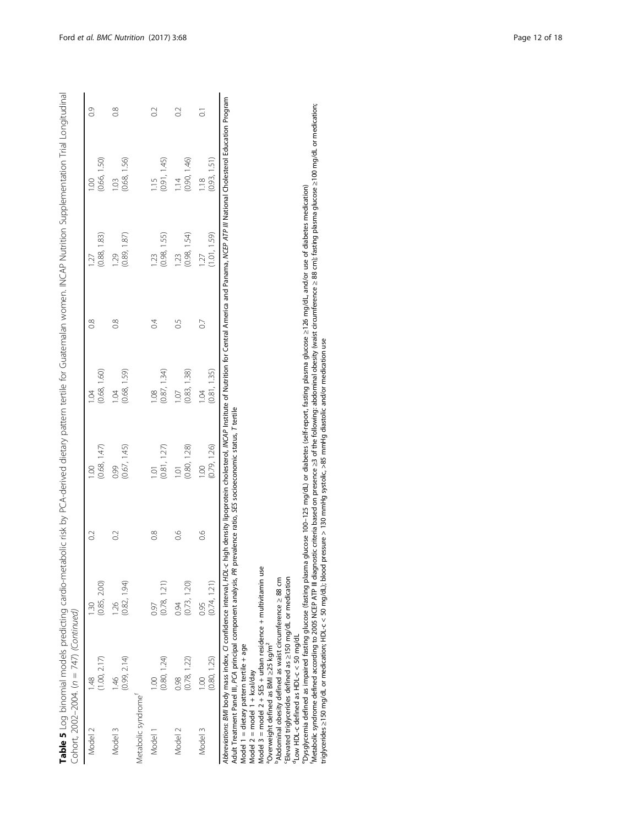| I<br>j<br>١<br>$\ddot{\phantom{a}}$<br>ļ<br>۱<br>١<br>i<br>١<br>j<br>١<br>Ì<br>Tring<br>T<br>İ<br>ء<br>ڊ<br>j<br>į<br>Ò<br>)<br>-<br>-<br>۱<br>J<br>I<br>$\frac{1}{2}$<br>þ.<br>Ś<br>$\mathbf \zeta$<br>۱<br>٦ |                                                                                                                          |
|----------------------------------------------------------------------------------------------------------------------------------------------------------------------------------------------------------------|--------------------------------------------------------------------------------------------------------------------------|
| å<br>֚֬<br>í<br>5<br>$-2$<br>j<br>)<br>2<br>2<br>2<br>)<br>.<br>ι<br>こく こうけんせん こうせん<br>$\overline{\phantom{a}}$<br>$\overline{\phantom{a}}$<br>j<br>;                                                          |                                                                                                                          |
| o aliata r<br>j<br>)<br>)<br>)<br>)<br>)<br>į<br>$\frac{1}{2}$<br>٦<br>i<br>$\frac{1}{2}$<br>$\frac{1}{2}$<br>i<br>$\overline{\cdot}$<br>bollc                                                                 |                                                                                                                          |
| i<br>i<br>١<br>j<br>ׇ֚֬֓֡֡֡<br>Ì<br>i<br>$\frac{1}{2}$<br>$\frac{1}{2}$<br>l                                                                                                                                   | Ś<br>j<br>ļ<br>į<br>$\overline{a}$<br>l<br>I<br>.<br>הר<br>הר<br>İ<br>l<br>I<br>)<br> }<br>١<br>$\overline{a}$<br>j<br>I |

|                                 | Cohort, 2002–2004. (n = 747) (Continued) |                      |                |                                                     |                                                     |                |                                          |                                                     |                |
|---------------------------------|------------------------------------------|----------------------|----------------|-----------------------------------------------------|-----------------------------------------------------|----------------|------------------------------------------|-----------------------------------------------------|----------------|
| Model 2                         | (1.00, 2.17)<br>1.48                     | (0.85, 2.00)<br>1.30 | 0.2            | (0.68, 1.47)<br>00.1                                | 1.04                                                | $\frac{8}{2}$  | 127                                      | 1.00                                                | $\frac{0}{2}$  |
| Model 3                         | (0.99, 2.14)<br>1.46                     | (0.82, 1.94)<br>1.26 | $\overline{0}$ | $0.99$<br>$(0.67, 1.45)$                            | $(0.68, 1.60)$<br>$1.04$<br>$(0.68, 1.59)$          | $\frac{8}{2}$  | $(0.88, 1.83)$<br>1.29<br>$(0.89, 1.87)$ | $(0.66, 1.50)$<br>1.03<br>$(0.68, 1.56)$            | $\frac{8}{2}$  |
| Metabolic syndrome <sup>r</sup> |                                          |                      |                |                                                     |                                                     |                |                                          |                                                     |                |
| Model 1                         | (0.80, 1.24)<br>1,00                     | (0.78, 1.21)<br>0.97 | $\frac{8}{2}$  | (0.81, 1.27)<br>$\overline{101}$                    | $\frac{1.08}{(0.87, 1.34)}$                         | 0.4            | $\frac{1.23}{(0.98, 1.55)}$              | $\frac{1.15}{(0.91, 1.45)}$                         | $\approx$      |
| Model 2                         | (0.78, 1.22)<br>0.98                     | (0.73, 1.20)<br>0.94 | 8.O            | $\begin{array}{c} 1.01 \\ (0.80, 1.28) \end{array}$ | $\begin{array}{c} 1.07 \\ (0.83, 1.38) \end{array}$ | C,O            | $1.23$<br>(0.98, 1.54)                   | $\begin{array}{c} 1.14 \\ (0.90, 1.46) \end{array}$ | $\overline{C}$ |
| Model 3                         | (0.80, 1.25)<br>$\frac{8}{1}$            | (0.74, 1.21)<br>0.95 | $\frac{6}{2}$  | $\begin{array}{c} 1.00 \\ (0.79, 1.26) \end{array}$ | $\frac{1.04}{(0.81, 1.35)}$                         | $\overline{0}$ | (1.01, 1.59)<br>1.27                     | $\frac{1.18}{(0.93, 1.51)}$                         | $\overline{c}$ |
|                                 |                                          |                      |                |                                                     |                                                     |                |                                          |                                                     |                |

Abbreviations: BM body mass index, CI confidence interval, HDL-c high density lipoprotein cholesterol, MCAP Institute of Nutrition for Central America and Panama, NCEP ATP III National Cholesterol Education Program<br>Adult T Abbreviations: BMI body mass index, CI confidence interval, HDL-c high density lipoprotein cholesterol, INCAP Institute of Nutrition for Central America and Panama, NCEP AITP III National Cholesterol Education Program

Adult Treatment Panel III, PCA principal component analysis, PR prevalence ratio, SES socioeconomic status, T tertile

Model 1 = dietary pattern tertile + age Model 1 = dietary pattern tertile + age

Model 2 = model 1 + kcal/day Model 2 = model 1 + kcal/day

Model 3 = model 2 + SES + urban residence + multivitamin use<br><sup>a</sup>Overweight defined as BMI >25 kg/m<sup>2</sup><br><sup>b</sup>Abdominal obesity defined as waist circumference > 88 cm Model 3 = model 2 + SES + urban residence + multivitamin use

aOverweight defined as BMI ≥25 kg/m<sup>2</sup>

bAbdominal obesity defined as waist circumference ≥ 88 cm

Elevated triglycerides defined as ≥150 mg/dL or medication cElevated triglycerides defined as ≥150 mg/dL or medication

 $d_{\text{LOW}}$  HDL-c defined as HDL-c < 50 mg/dL  $d_{\text{Low HDL-C}}$  defined as HDL-c < 50 mg/dL

eDysglycemia defined as impaired fasting glucose (fasting plasma glucose 100–125 mg/dL) or diabetes (self-report, fasting plasma glucose ≥126 mg/dL, and/or use of diabetes medication)

°Dysglycemia defined as impaired fasting glucose (fasting plasma glucose 100–125 mg/dL) or diabeets (self-report, fasting plasma glucose ≥126 mg/dL and/or use of diabetes medication)<br>'Metabolic syndrome defined according fMetabolic syndrome defined according to 2005 NCEP ATP III diagnostic criteria based on presence ≥3 of the following: abdominal obesity (waist circumference ≥ 88 cm); fasting plasma glucose ≥100 mg/dL or medication; triglycerides ≥150 mg/dL or medication; HDL-c < 50 mg/dL); blood pressure > 130 mmHg systolic, >85 mmHg diastolic and/or medication use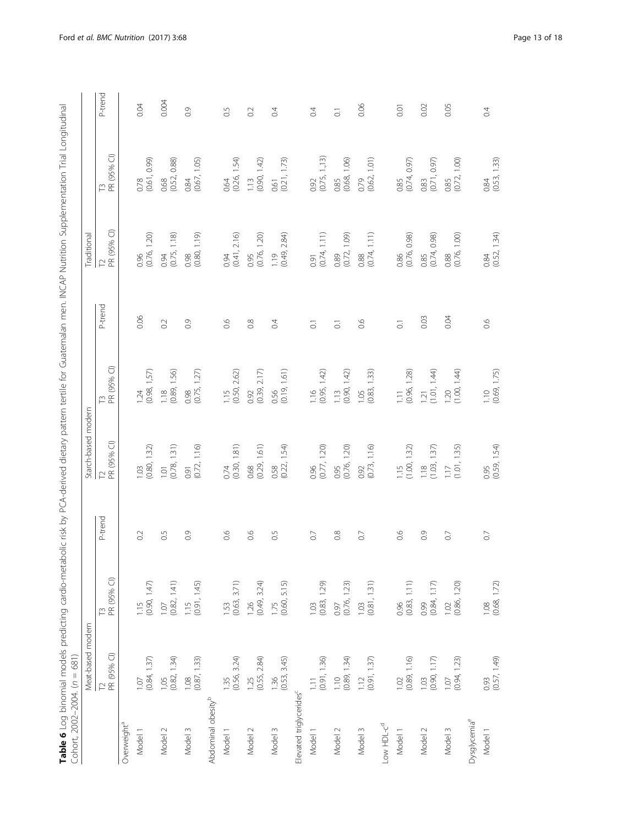| l<br>Ş<br>l                                                                                           |                                                    |
|-------------------------------------------------------------------------------------------------------|----------------------------------------------------|
| l<br>١                                                                                                |                                                    |
| ١                                                                                                     |                                                    |
| i<br>!<br>٢<br>J                                                                                      |                                                    |
| $\overline{a}$<br>ì                                                                                   |                                                    |
| J<br>l                                                                                                |                                                    |
| l<br>İ                                                                                                |                                                    |
| ١<br>١                                                                                                |                                                    |
| į<br>֧֧֧֧֧֧֧֪֧֪֧֧֧֧֧֧֚֚֚֚֚֚֚֚֚֚֚֚֚֡֡֓֡֓֓֡֓֓֡֬֓֓֓֡֓֓֡֬֓֓֞֬֓֓֓֓֓֓֓֬֓֓֓֓֓֓֓֓֓֝֬֝֬֝֬֝֬֝֓֬֬֬֝֓֝֬֝֬֝֬֝֬֝֬֝֬ |                                                    |
| $\frac{1}{2}$<br>j                                                                                    |                                                    |
| j                                                                                                     |                                                    |
| $\overline{\phantom{a}}$<br>J<br>1                                                                    |                                                    |
| ļ<br>į<br>Ż                                                                                           |                                                    |
| 5<br>١<br>I                                                                                           |                                                    |
| ۔<br>د<br>l                                                                                           |                                                    |
|                                                                                                       |                                                    |
|                                                                                                       |                                                    |
|                                                                                                       |                                                    |
|                                                                                                       |                                                    |
|                                                                                                       |                                                    |
|                                                                                                       |                                                    |
| ׇ֚֘<br>¢                                                                                              |                                                    |
| ׅ֘֒                                                                                                   |                                                    |
| j<br>֕                                                                                                |                                                    |
| ١                                                                                                     |                                                    |
|                                                                                                       |                                                    |
| )<br>S                                                                                                |                                                    |
| مصدم : ص سم : ۱٫۰۰۰<br>Ś<br>J                                                                         |                                                    |
| I                                                                                                     |                                                    |
| J                                                                                                     |                                                    |
|                                                                                                       |                                                    |
| $-1$                                                                                                  |                                                    |
|                                                                                                       |                                                    |
| ١                                                                                                     |                                                    |
| j                                                                                                     |                                                    |
| ֧֧֧֪֧֪֧֪֚֚֚֚֚֚֚֚֚֚֚֚֚֚֚֚֚֚֡֝֝֝֓֝֬֝֓֝֬֝֓֬֝֬֝֓֝֬֝֓֬֝֓֬֝֓֬֝֓֝֬֝֬֝֬֝֬֝֬                                   |                                                    |
| )<br>)<br>)<br>i                                                                                      |                                                    |
| J<br>Ī                                                                                                |                                                    |
| ١<br>Ī                                                                                                |                                                    |
| j<br>I<br>1                                                                                           |                                                    |
| j                                                                                                     |                                                    |
| )<br>5<br>-                                                                                           |                                                    |
| $\overline{\phantom{a}}$<br>)<br>.                                                                    |                                                    |
|                                                                                                       |                                                    |
| I                                                                                                     |                                                    |
| $\frac{1}{2}$                                                                                         |                                                    |
| I<br>j                                                                                                |                                                    |
| )<br>į                                                                                                |                                                    |
| nataho<br>J                                                                                           |                                                    |
| Ξ                                                                                                     |                                                    |
| ï<br>ļ<br>I<br>I                                                                                      |                                                    |
| ٢                                                                                                     |                                                    |
| ١                                                                                                     |                                                    |
| ١                                                                                                     |                                                    |
| ļ                                                                                                     |                                                    |
| J<br>i<br>١                                                                                           |                                                    |
| J<br>I<br>1<br>Ï<br>ļ                                                                                 |                                                    |
| ł<br>١                                                                                                |                                                    |
| j<br>j<br>₹<br>٢                                                                                      |                                                    |
| i<br>İ                                                                                                | )<br>)<br>$\frac{1}{2}$<br>$\overline{\mathbf{C}}$ |
|                                                                                                       | Í                                                  |
| l<br>١<br>ì                                                                                           |                                                    |
| ļ<br>I<br>١                                                                                           | Ó                                                  |
|                                                                                                       | Į                                                  |
| j<br>١                                                                                                | ;<br>c<br>l<br>Į                                   |
| $\frac{1}{2}$                                                                                         | )<br>)                                             |
| 6 <sup>1</sup>                                                                                        | Į                                                  |
|                                                                                                       | ţ<br>Ć                                             |
|                                                                                                       | l<br>j<br>I                                        |
|                                                                                                       | j                                                  |

<span id="page-12-0"></span>

| Overweight <sup>a</sup><br>Model 2<br>Model 3<br>Model 1 | Meat-based modern                                   |                                 |                | Starch-based modern                                 |                                                     |                    | Traditional              |                             |                    |
|----------------------------------------------------------|-----------------------------------------------------|---------------------------------|----------------|-----------------------------------------------------|-----------------------------------------------------|--------------------|--------------------------|-----------------------------|--------------------|
|                                                          | PR (95% CI)                                         | PR (95% CI)<br>$\tilde{\Gamma}$ | P-trend        | T2<br>PR (95% Cl)                                   | T3<br>PR (95% Cl)                                   | P-trend            | T2<br>PR (95% Cl)        | T3<br>PR (95% Cl)           | P-trend            |
|                                                          |                                                     |                                 |                |                                                     |                                                     |                    |                          |                             |                    |
|                                                          | $1.07$<br>(0.84, 1.37)                              | $\frac{1.15}{(0.90, 1.47)}$     | O2             | $\binom{1.03}{0.80}$ , 1.32)                        | $1.24$<br>(0.98, 1,57)                              | 0.06               | 1.20<br>0.96<br>(0.76,   | $0.78$<br>$(0.61, 0.99)$    | 0.04               |
|                                                          | $\frac{1,05}{(0.82, 1.34)}$                         | $\frac{1.07}{(0.82, 1.41)}$     | 0.5            | $\begin{array}{c} 1.01 \\ (0.78, 1.31) \end{array}$ | $\frac{1.18}{(0.89, 1.56)}$                         | 0.2                | 1.18<br>0.94<br>(0.75,   | $0.68$<br>$(0.52, 0.88)$    | 0.004              |
|                                                          | $\frac{1.08}{(0.87, 1.33)}$                         | $\frac{1.15}{(0.91, 1.45)}$     | $\overline{0}$ | $0.91$<br>$(0.72, 1.16)$                            | $0.98$<br>$(0.75, 1.27)$                            | $\overline{0}$     | 1.19<br>0.98<br>(0.80)   | $0.84$<br>$(0.67, 1.05)$    | 0.9                |
| Abdominal obesity <sup>b</sup>                           |                                                     |                                 |                |                                                     |                                                     |                    |                          |                             |                    |
| Model 1                                                  | (0.56, 3.24)<br>1.35                                | (0.63, 3.71)<br>1.53            | 66             | (0.30, 1.81)<br>0.74                                | $1.15$<br>$(0.50, 2.62)$                            | 66                 | (0.41, 2.16)<br>0.94     | 0.64<br>(0.26, 1.54)        | 0.5                |
| Model 2                                                  | $1.25$<br>(0.55, 2.84)                              | $1.26$<br>$(0.49, 3.24)$        | 66             | 0.68<br>(0.29, 1.61)                                | $0.92$<br>$(0.39, 2.17)$                            | $\frac{8}{2}$      | 0.95<br>(0.76, 1.20)     | (0.90, 1.42)                | 0.2                |
| Model 3                                                  | $1.36$<br>(0.53, 3.45)                              | $1.75$<br>$(0.60, 5.15)$        | 50             | 0.58<br>(0.22, 1.54)                                | $0.56$<br>$(0.19, 1.61)$                            | 0.4                | $1.19$<br>$(0.49, 2.84)$ | $\frac{0.61}{(0.21, 1.73)}$ | 0.4                |
| Elevated triglycerides <sup>c</sup>                      |                                                     |                                 |                |                                                     |                                                     |                    |                          |                             |                    |
| Model 1                                                  | (0.91, 1.36)<br>$\overline{11}$                     | (0.83, 1.29)<br>1.03            | $\overline{O}$ | (0.77, 1.20)<br>0.96                                | $\frac{1.16}{(0.95, 1.42)}$                         | $\overline{c}$     | (0.74, 1.11)<br>0.91     | (0.75, 1.13)<br>0.92        | 0.4                |
| Model 2                                                  | $\frac{1.10}{(0.89, 1.34)}$                         | (0.76, 1.23)<br>0.97            | $\frac{8}{2}$  | 0.95<br>(0.76, 1.20)                                | $\begin{pmatrix} 1.13 \\ 0.90, 1.42 \end{pmatrix}$  | $\overline{\circ}$ | $0.89$<br>$(0.72, 1.09)$ | 1.06<br>(0.68,<br>0.85      | $\overline{\circ}$ |
| Model 3                                                  | $\frac{1.12}{(0.91, 1.37)}$                         | $\frac{1.03}{(0.81, 1.31)}$     | $\overline{O}$ | $0.92$<br>$(0.73, 1.16)$                            | $\begin{array}{c} 1.05 \\ (0.83, 1.33) \end{array}$ | 0.6                | 1.11)<br>(0.74,<br>0.88  | (0.62, 1.01)<br>0.79        | 0.06               |
| Low HDL-Cd                                               |                                                     |                                 |                |                                                     |                                                     |                    |                          |                             |                    |
| Model 1                                                  | (0.89, 1.16)<br>1.02                                | (0.83, 1.11)<br>0.96            | 66             | $\begin{array}{c} 1.15 \\ (1.00, 1.32) \end{array}$ | (0.96, 1.28)<br>111                                 | $\overline{\circ}$ | (0.76, 0.98)<br>0.86     | (0.74, 0.97)<br>0.85        | 0.01               |
| Model 2                                                  | $\begin{array}{c} 1.03 \\ (0.90, 1.17) \end{array}$ | (0.84, 1.17)<br>0.99            | $\overline{0}$ | $\begin{array}{c} 1.18 \\ (1.03, 1.37) \end{array}$ | $\frac{1.21}{(1.01, 1.44)}$                         | 0.03               | 0.98<br>$0.85$<br>(0.74, | $0.83$<br>$(0.71, 0.97)$    | 0.02               |
| Model 3                                                  | $\frac{1.07}{(0.94, 1.23)}$                         | (0.86, 1.20)<br>1.02            | $\circ$        | (1.01, 1.35)<br>117                                 | $(1.20$<br>$(1.00, 1.44)$                           | 0.04               | 0.88<br>(0.76, 1.00)     | $0.85$<br>$(0.72, 1.00)$    | 0.05               |
| Dysglycemia <sup>e</sup>                                 |                                                     |                                 |                |                                                     |                                                     |                    |                          |                             |                    |
| Model 1                                                  | $0.93$<br>$(0.57, 1.49)$                            | $\frac{1.08}{(0.68, 1.72)}$     | $\overline{0}$ | 0.95<br>(0.59, 1.54)                                | $\frac{1.10}{(0.69, 1.75)}$                         | 0.6                | $0.84$<br>$(0.52, 1.34)$ | $0.84$<br>$(0.53, 1.33)$    | 0.4                |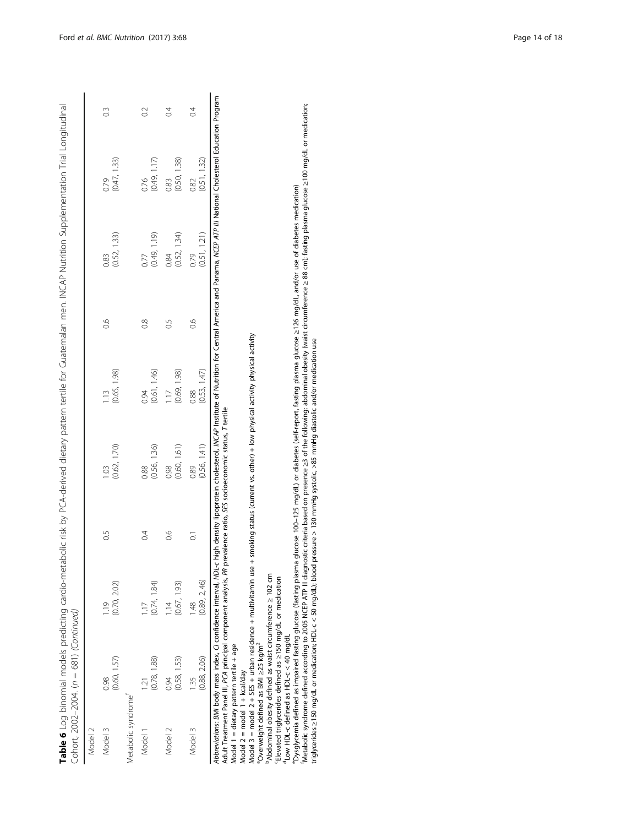| l<br>j<br>l<br>١                   |                                                                                                 |
|------------------------------------|-------------------------------------------------------------------------------------------------|
| 1<br>١<br>١                        |                                                                                                 |
| İ<br>J<br>ļ<br>$\overline{a}$<br>ì |                                                                                                 |
| J<br>֬֕֓                           |                                                                                                 |
| l<br>Ĩ                             |                                                                                                 |
| ļ<br>Ï<br>j<br>j                   |                                                                                                 |
| .<br>Ö                             |                                                                                                 |
| $\mathbf$<br>j<br>ļ<br>ì           |                                                                                                 |
| $\frac{2}{5}$<br>I                 |                                                                                                 |
| ١<br>į<br>İ                        |                                                                                                 |
|                                    |                                                                                                 |
|                                    |                                                                                                 |
|                                    |                                                                                                 |
| ֕                                  |                                                                                                 |
| ¢                                  |                                                                                                 |
| j<br>֕                             |                                                                                                 |
| ١                                  |                                                                                                 |
| )<br>5<br>Ś<br>J                   |                                                                                                 |
| ١<br>I                             |                                                                                                 |
| $-10 + 20 = 11$<br>.<br>)          |                                                                                                 |
|                                    |                                                                                                 |
| $+  +$ $ +$                        |                                                                                                 |
| i<br>ś                             |                                                                                                 |
| )<br>)<br>)<br>i                   |                                                                                                 |
| J<br>١                             |                                                                                                 |
| j<br>1                             |                                                                                                 |
| )<br>5<br>-<br>I                   |                                                                                                 |
| $\overline{\phantom{a}}$<br>)<br>. |                                                                                                 |
| ١                                  |                                                                                                 |
| $\frac{1}{2}$                      |                                                                                                 |
| I<br>J<br>)                        |                                                                                                 |
| hatahol<br>į<br>ミリニ                |                                                                                                 |
| l<br>ļ<br>I                        |                                                                                                 |
| ۱<br>١                             |                                                                                                 |
| j                                  | ١<br>5                                                                                          |
| ļ<br>J                             | j<br>֖֖֧ׅ֧ׅ֧ׅ֧֧֧֧֧֧ׅ֖֧֧֪ׅ֧֧֧֧֧֚֚֚֚֚֚֚֚֚֚֚֚֚֚֚֚֚֚֚֚֚֚֚֚֚֚֚֚֚֚֡֬֝֝֬֝֓֝֬֓֝֬֝֓֝֬֝֬֝֝֬֝֬֝֬֝֬֝֬֝<br>ļ |
| ١<br>Į<br>I<br>۱<br>Ï<br>ļ         | Í                                                                                               |
| J<br>ï<br>j<br>$\frac{1}{2}$       |                                                                                                 |
| i                                  | Ś<br>Ś<br>ıi                                                                                    |
| í<br>١                             |                                                                                                 |
| I<br>١                             | ı                                                                                               |
| ١                                  | i<br>C<br>Į<br>l<br>j                                                                           |
|                                    | )<br>U<br>C                                                                                     |
| $\overline{6}$ Lo                  | ţ<br>Ó                                                                                          |
|                                    | l<br>I<br>j                                                                                     |

| Model 2                         | Cohort, 2002–2004. (n = 681) (Continued) | Table 6 Log binomial models predicting cardio-metabolic risk by PCA-derived dietary pattern tertile for Guatemalan men. INCAP Nutrition Supplementation Trial Longitudinal |                    |                      |                                  |               |                      |                      |                |
|---------------------------------|------------------------------------------|----------------------------------------------------------------------------------------------------------------------------------------------------------------------------|--------------------|----------------------|----------------------------------|---------------|----------------------|----------------------|----------------|
| Model 3                         | (0.60, 1.57)<br>0.98                     | (0.70, 2.02)<br>1.19                                                                                                                                                       | SS                 | (0.62, 1.70)<br>1.03 | (0.65, 1.98)<br>1.13             | $\frac{8}{2}$ | (0.52, 1.33)<br>0.83 | (0.47, 1.33)<br>0.79 | $\frac{3}{2}$  |
| Metabolic syndrome <sup>r</sup> |                                          |                                                                                                                                                                            |                    |                      |                                  |               |                      |                      |                |
| Model <sup>-</sup>              | (0.78, 1.88)                             | 0.74, 1.84)<br>$\overline{11}$                                                                                                                                             | $\overline{0}4$    | (0.56, 1.36)<br>0.88 | (0.61, 1.46)<br>0.94             | $\frac{8}{2}$ | (0.49, 1.19)<br>0.77 | (0.49, 1.17)<br>0.76 | $\Omega$       |
| Model 2                         | (0.58, 1.53)<br>0.94                     | (0.67, 1.93)<br>$\frac{1}{4}$                                                                                                                                              | 8.                 | (0.60, 1.61)<br>0.98 | (0.69, 1.98)<br>$\overline{117}$ | S,            | (0.52, 1.34)<br>0.84 | (0.50, 1.38)<br>0.83 | $\overline{0}$ |
| Model 3                         | (0.88, 2.06)<br>$^{1.35}$                | (0.89, 2,46)<br>$\frac{48}{5}$                                                                                                                                             | $\overline{\circ}$ | (0.56, 1.41)<br>0.89 | (0.53, 1.47)<br>0.88             | 8.            | (0.51, 1.21)<br>0.79 | (0.51, 1.32)<br>0.82 | $\overline{0}$ |
|                                 |                                          | Abbaujarion Dindu mase induccional HOL-chip docin domin dolorani dolorani MCAD Instituto of Number of Dinduccion Dingle Dingle Dingle Dinguno Dingle Dinguno               |                    |                      |                                  |               |                      |                      |                |

of Nutrition for Central America and Panama, NCEP ATP III National Cholesterol Education Program Abbreviations: BMI body mass index, CI confidence interval, HDL-c high density lipoprotein cholesterol, INCAP Institute of Nutrition for Central America and Panama, NCEP ATP III National Cholesterol Education Program *Abbreviations: BMI body mass index, CI confidence interval, HDL-c high density lipoprotein cholesterol, INCAP Institute<br>Adult Treatment Panel III, PCA principal component analysis, PR prevalence ratio, SES socioeconomic s* 

Adult Treatment Panel III, PCA principal component analysis, PR prevalence ratio, SES socioeconomic status, T tertile Model 1 = dietary pattern tertile + age

Model 1 = dietary pattern tertile + age Model 2 = model 1 + kcal/day Model 2 = model 1 + kcal/day

Model 3 = model 2 + SES + urban residence + multivitamin use + smoking status (current vs. other) + low physical activity physical activity Model 3 = model 2 + SES + urban residence + multivitamin use + smoking status (current vs. other) + low physical activity physical activity

<sup>a</sup>Overweight defined as BMI ≥25 kg/m<sup>2</sup> aOverweight defined as BMI ≥25 kg/m<sup>2</sup>

" Abdominal obesity defined as waist circumference ≥ 102 cm<br>"Elevated triglycerides defined as ≥150 mg/dL or medication bAbdominal obesity defined as waist circumference ≥ 102 cm

cElevated triglycerides defined as ≥150 mg/dL or medication

 $d_{\text{Low HDL-c}}$  defined as HDL-c < 40 mg/dL  $d_{\text{Low HDL-C}}$  defined as HDL-c < 40 mg/dL

eDysglycemia defined as impaired fasting glucose (fasting plasma glucose 100–125 mg/dL) or diabetes (self-report, fasting plasma glucose ≥126 mg/dL, and/or use of diabetes medication)

°Dysglycemia defined as impaired fasting glucose (fasting plasma glucose 100–125 mg/dL) or diabeets (self-report, fasting plasma glucose ≥126 mg/dL and/or use of diabetes medication)<br>'Metabolic syndrome defined according fMetabolic syndrome defined according to 2005 NCEP ATP III diagnostic criteria based on presence ≥3 of the following: abdominal obesity (waist circumference ≥ 88 cm); fasting plasma glucose ≥100 mg/dL or medication; triglycerides ≥150 mg/dL or medication; HDL-c < 50 mg/dL); blood pressure > 130 mmHg systolic, >85 mmHg diastolic and/or medication use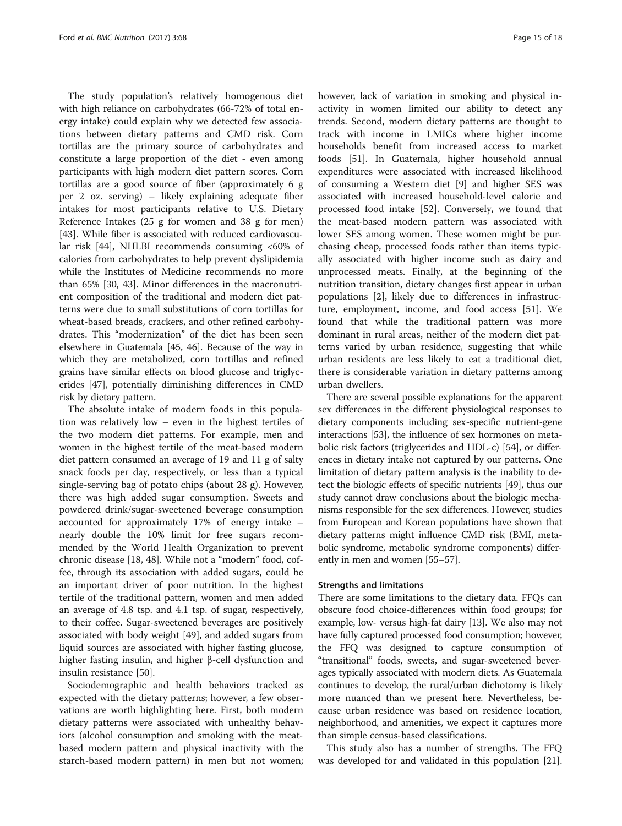The study population's relatively homogenous diet with high reliance on carbohydrates (66-72% of total energy intake) could explain why we detected few associations between dietary patterns and CMD risk. Corn tortillas are the primary source of carbohydrates and constitute a large proportion of the diet - even among participants with high modern diet pattern scores. Corn tortillas are a good source of fiber (approximately 6 g per 2 oz. serving) – likely explaining adequate fiber intakes for most participants relative to U.S. Dietary Reference Intakes (25 g for women and 38 g for men) [[43\]](#page-16-0). While fiber is associated with reduced cardiovascular risk [[44\]](#page-16-0), NHLBI recommends consuming <60% of calories from carbohydrates to help prevent dyslipidemia while the Institutes of Medicine recommends no more than 65% [[30, 43](#page-16-0)]. Minor differences in the macronutrient composition of the traditional and modern diet patterns were due to small substitutions of corn tortillas for wheat-based breads, crackers, and other refined carbohydrates. This "modernization" of the diet has been seen elsewhere in Guatemala [\[45](#page-16-0), [46\]](#page-16-0). Because of the way in which they are metabolized, corn tortillas and refined grains have similar effects on blood glucose and triglycerides [\[47\]](#page-16-0), potentially diminishing differences in CMD risk by dietary pattern.

The absolute intake of modern foods in this population was relatively low – even in the highest tertiles of the two modern diet patterns. For example, men and women in the highest tertile of the meat-based modern diet pattern consumed an average of 19 and 11 g of salty snack foods per day, respectively, or less than a typical single-serving bag of potato chips (about 28 g). However, there was high added sugar consumption. Sweets and powdered drink/sugar-sweetened beverage consumption accounted for approximately 17% of energy intake – nearly double the 10% limit for free sugars recommended by the World Health Organization to prevent chronic disease [\[18, 48\]](#page-16-0). While not a "modern" food, coffee, through its association with added sugars, could be an important driver of poor nutrition. In the highest tertile of the traditional pattern, women and men added an average of 4.8 tsp. and 4.1 tsp. of sugar, respectively, to their coffee. Sugar-sweetened beverages are positively associated with body weight [\[49\]](#page-16-0), and added sugars from liquid sources are associated with higher fasting glucose, higher fasting insulin, and higher β-cell dysfunction and insulin resistance [\[50](#page-16-0)].

Sociodemographic and health behaviors tracked as expected with the dietary patterns; however, a few observations are worth highlighting here. First, both modern dietary patterns were associated with unhealthy behaviors (alcohol consumption and smoking with the meatbased modern pattern and physical inactivity with the starch-based modern pattern) in men but not women; however, lack of variation in smoking and physical inactivity in women limited our ability to detect any trends. Second, modern dietary patterns are thought to track with income in LMICs where higher income households benefit from increased access to market foods [\[51\]](#page-16-0). In Guatemala, higher household annual expenditures were associated with increased likelihood of consuming a Western diet [\[9](#page-16-0)] and higher SES was associated with increased household-level calorie and processed food intake [[52\]](#page-16-0). Conversely, we found that the meat-based modern pattern was associated with lower SES among women. These women might be purchasing cheap, processed foods rather than items typically associated with higher income such as dairy and unprocessed meats. Finally, at the beginning of the nutrition transition, dietary changes first appear in urban populations [[2](#page-15-0)], likely due to differences in infrastructure, employment, income, and food access [[51](#page-16-0)]. We found that while the traditional pattern was more dominant in rural areas, neither of the modern diet patterns varied by urban residence, suggesting that while urban residents are less likely to eat a traditional diet, there is considerable variation in dietary patterns among urban dwellers.

There are several possible explanations for the apparent sex differences in the different physiological responses to dietary components including sex-specific nutrient-gene interactions [\[53\]](#page-16-0), the influence of sex hormones on metabolic risk factors (triglycerides and HDL-c) [\[54](#page-17-0)], or differences in dietary intake not captured by our patterns. One limitation of dietary pattern analysis is the inability to detect the biologic effects of specific nutrients [[49](#page-16-0)], thus our study cannot draw conclusions about the biologic mechanisms responsible for the sex differences. However, studies from European and Korean populations have shown that dietary patterns might influence CMD risk (BMI, metabolic syndrome, metabolic syndrome components) differently in men and women [\[55](#page-17-0)–[57](#page-17-0)].

#### Strengths and limitations

There are some limitations to the dietary data. FFQs can obscure food choice-differences within food groups; for example, low- versus high-fat dairy [[13\]](#page-16-0). We also may not have fully captured processed food consumption; however, the FFQ was designed to capture consumption of "transitional" foods, sweets, and sugar-sweetened beverages typically associated with modern diets. As Guatemala continues to develop, the rural/urban dichotomy is likely more nuanced than we present here. Nevertheless, because urban residence was based on residence location, neighborhood, and amenities, we expect it captures more than simple census-based classifications.

This study also has a number of strengths. The FFQ was developed for and validated in this population [\[21](#page-16-0)].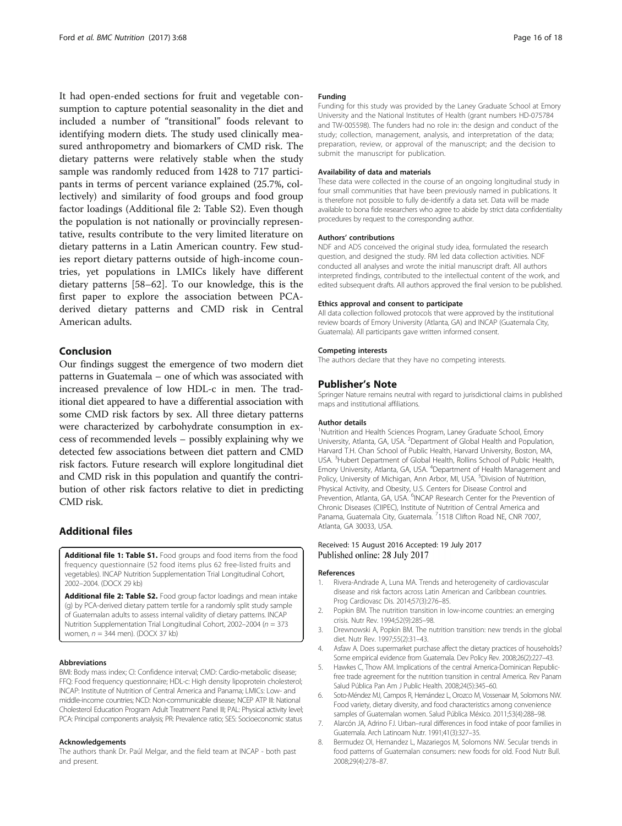<span id="page-15-0"></span>It had open-ended sections for fruit and vegetable consumption to capture potential seasonality in the diet and included a number of "transitional" foods relevant to identifying modern diets. The study used clinically measured anthropometry and biomarkers of CMD risk. The dietary patterns were relatively stable when the study sample was randomly reduced from 1428 to 717 participants in terms of percent variance explained (25.7%, collectively) and similarity of food groups and food group factor loadings (Additional file 2: Table S2). Even though the population is not nationally or provincially representative, results contribute to the very limited literature on dietary patterns in a Latin American country. Few studies report dietary patterns outside of high-income countries, yet populations in LMICs likely have different dietary patterns [\[58](#page-17-0)–[62\]](#page-17-0). To our knowledge, this is the first paper to explore the association between PCAderived dietary patterns and CMD risk in Central American adults.

#### Conclusion

Our findings suggest the emergence of two modern diet patterns in Guatemala – one of which was associated with increased prevalence of low HDL-c in men. The traditional diet appeared to have a differential association with some CMD risk factors by sex. All three dietary patterns were characterized by carbohydrate consumption in excess of recommended levels – possibly explaining why we detected few associations between diet pattern and CMD risk factors. Future research will explore longitudinal diet and CMD risk in this population and quantify the contribution of other risk factors relative to diet in predicting CMD risk.

#### Additional files

[Additional file 1: Table S1.](dx.doi.org/10.1186/s40795-017-0188-5) Food groups and food items from the food frequency questionnaire (52 food items plus 62 free-listed fruits and vegetables). INCAP Nutrition Supplementation Trial Longitudinal Cohort, 2002–2004. (DOCX 29 kb)

[Additional file 2: Table S2.](dx.doi.org/10.1186/s40795-017-0188-5) Food group factor loadings and mean intake (g) by PCA-derived dietary pattern tertile for a randomly split study sample of Guatemalan adults to assess internal validity of dietary patterns. INCAP Nutrition Supplementation Trial Longitudinal Cohort, 2002–2004 (n = 373 women,  $n = 344$  men). (DOCX 37 kb)

#### Abbreviations

BMI: Body mass index; CI: Confidence interval; CMD: Cardio-metabolic disease; FFQ: Food frequency questionnaire; HDL-c: High density lipoprotein cholesterol; INCAP: Institute of Nutrition of Central America and Panama; LMICs: Low- and middle-income countries; NCD: Non-communicable disease; NCEP ATP III: National Cholesterol Education Program Adult Treatment Panel III; PAL: Physical activity level; PCA: Principal components analysis; PR: Prevalence ratio; SES: Socioeconomic status

#### Acknowledgements

The authors thank Dr. Paúl Melgar, and the field team at INCAP - both past and present.

#### Funding

Funding for this study was provided by the Laney Graduate School at Emory University and the National Institutes of Health (grant numbers HD-075784 and TW-005598). The funders had no role in: the design and conduct of the study; collection, management, analysis, and interpretation of the data; preparation, review, or approval of the manuscript; and the decision to submit the manuscript for publication.

#### Availability of data and materials

These data were collected in the course of an ongoing longitudinal study in four small communities that have been previously named in publications. It is therefore not possible to fully de-identify a data set. Data will be made available to bona fide researchers who agree to abide by strict data confidentiality procedures by request to the corresponding author.

#### Authors' contributions

NDF and ADS conceived the original study idea, formulated the research question, and designed the study. RM led data collection activities. NDF conducted all analyses and wrote the initial manuscript draft. All authors interpreted findings, contributed to the intellectual content of the work, and edited subsequent drafts. All authors approved the final version to be published.

#### Ethics approval and consent to participate

All data collection followed protocols that were approved by the institutional review boards of Emory University (Atlanta, GA) and INCAP (Guatemala City, Guatemala). All participants gave written informed consent.

#### Competing interests

The authors declare that they have no competing interests.

#### Publisher's Note

Springer Nature remains neutral with regard to jurisdictional claims in published maps and institutional affiliations.

#### Author details

<sup>1</sup>Nutrition and Health Sciences Program, Laney Graduate School, Emory University, Atlanta, GA, USA. <sup>2</sup>Department of Global Health and Population Harvard T.H. Chan School of Public Health, Harvard University, Boston, MA, USA. <sup>3</sup> Hubert Department of Global Health, Rollins School of Public Health Emory University, Atlanta, GA, USA. <sup>4</sup>Department of Health Management and Policy, University of Michigan, Ann Arbor, MI, USA. <sup>5</sup>Division of Nutrition Physical Activity, and Obesity, U.S. Centers for Disease Control and Prevention, Atlanta, GA, USA. <sup>6</sup>INCAP Research Center for the Prevention of Chronic Diseases (CIIPEC), Institute of Nutrition of Central America and Panama, Guatemala City, Guatemala. 71518 Clifton Road NE, CNR 7007 Atlanta, GA 30033, USA.

#### Received: 15 August 2016 Accepted: 19 July 2017 Published online: 28 July 2017

#### References

- 1. Rivera-Andrade A, Luna MA. Trends and heterogeneity of cardiovascular disease and risk factors across Latin American and Caribbean countries. Prog Cardiovasc Dis. 2014;57(3):276–85.
- 2. Popkin BM. The nutrition transition in low-income countries: an emerging crisis. Nutr Rev. 1994;52(9):285–98.
- 3. Drewnowski A, Popkin BM. The nutrition transition: new trends in the global diet. Nutr Rev. 1997;55(2):31–43.
- 4. Asfaw A. Does supermarket purchase affect the dietary practices of households? Some empirical evidence from Guatemala. Dev Policy Rev. 2008;26(2):227–43.
- 5. Hawkes C, Thow AM. Implications of the central America-Dominican Republicfree trade agreement for the nutrition transition in central America. Rev Panam Salud Pública Pan Am J Public Health. 2008;24(5):345–60.
- 6. Soto-Méndez MJ, Campos R, Hernández L, Orozco M, Vossenaar M, Solomons NW. Food variety, dietary diversity, and food characteristics among convenience samples of Guatemalan women. Salud Pública México. 2011;53(4):288–98.
- 7. Alarcón JA, Adrino FJ. Urban–rural differences in food intake of poor families in Guatemala. Arch Latinoam Nutr. 1991;41(3):327–35.
- 8. Bermudez OI, Hernandez L, Mazariegos M, Solomons NW. Secular trends in food patterns of Guatemalan consumers: new foods for old. Food Nutr Bull. 2008;29(4):278–87.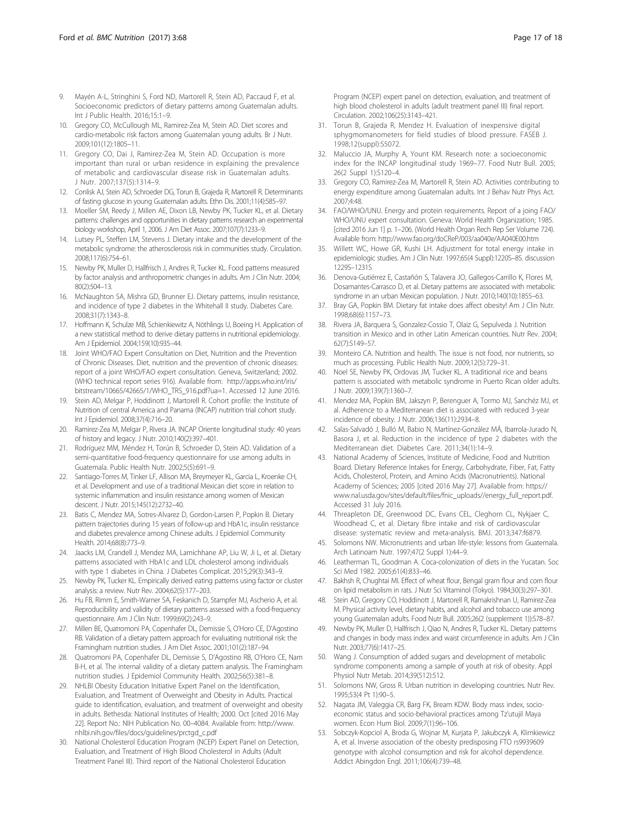- <span id="page-16-0"></span>9. Mayén A-L, Stringhini S, Ford ND, Martorell R, Stein AD, Paccaud F, et al. Socioeconomic predictors of dietary patterns among Guatemalan adults. Int J Public Health. 2016;15:1–9.
- 10. Gregory CO, McCullough ML, Ramirez-Zea M, Stein AD. Diet scores and cardio-metabolic risk factors among Guatemalan young adults. Br J Nutr. 2009;101(12):1805–11.
- 11. Gregory CO, Dai J, Ramirez-Zea M, Stein AD. Occupation is more important than rural or urban residence in explaining the prevalence of metabolic and cardiovascular disease risk in Guatemalan adults. J Nutr. 2007;137(5):1314–9.
- 12. Conlisk AJ, Stein AD, Schroeder DG, Torun B, Grajeda R, Martorell R. Determinants of fasting glucose in young Guatemalan adults. Ethn Dis. 2001;11(4):585–97.
- 13. Moeller SM, Reedy J, Millen AE, Dixon LB, Newby PK, Tucker KL, et al. Dietary patterns: challenges and opportunities in dietary patterns research an experimental biology workshop, April 1, 2006. J Am Diet Assoc. 2007;107(7):1233–9.
- 14. Lutsey PL, Steffen LM, Stevens J. Dietary intake and the development of the metabolic syndrome: the atherosclerosis risk in communities study. Circulation. 2008;117(6):754–61.
- 15. Newby PK, Muller D, Hallfrisch J, Andres R, Tucker KL. Food patterns measured by factor analysis and anthropometric changes in adults. Am J Clin Nutr. 2004; 80(2):504–13.
- 16. McNaughton SA, Mishra GD, Brunner EJ. Dietary patterns, insulin resistance, and incidence of type 2 diabetes in the Whitehall II study. Diabetes Care. 2008;31(7):1343–8.
- 17. Hoffmann K, Schulze MB, Schienkiewitz A, Nöthlings U, Boeing H. Application of a new statistical method to derive dietary patterns in nutritional epidemiology. Am J Epidemiol. 2004;159(10):935–44.
- 18. Joint WHO/FAO Expert Consultation on Diet, Nutrition and the Prevention of Chronic Diseases. Diet, nutrition and the prevention of chronic diseases: report of a joint WHO/FAO expert consultation. Geneva, Switzerland; 2002. (WHO technical report series 916). Available from: [http://apps.who.int/iris/](http://apps.who.int/iris/bitstream/10665/42665/1/WHO_TRS_916.pdf?ua=1) [bitstream/10665/42665/1/WHO\\_TRS\\_916.pdf?ua=1](http://apps.who.int/iris/bitstream/10665/42665/1/WHO_TRS_916.pdf?ua=1). Accessed 12 June 2016.
- 19. Stein AD, Melgar P, Hoddinott J, Martorell R. Cohort profile: the Institute of Nutrition of central America and Panama (INCAP) nutrition trial cohort study. Int J Epidemiol. 2008;37(4):716–20.
- 20. Ramirez-Zea M, Melgar P, Rivera JA. INCAP Oriente longitudinal study: 40 years of history and legacy. J Nutr. 2010;140(2):397–401.
- 21. Rodríguez MM, Méndez H, Torún B, Schroeder D, Stein AD. Validation of a semi-quantitative food-frequency questionnaire for use among adults in Guatemala. Public Health Nutr. 2002;5(5):691–9.
- 22. Santiago-Torres M, Tinker LF, Allison MA, Breymeyer KL, Garcia L, Kroenke CH, et al. Development and use of a traditional Mexican diet score in relation to systemic inflammation and insulin resistance among women of Mexican descent. J Nutr. 2015;145(12):2732–40.
- 23. Batis C, Mendez MA, Sotres-Alvarez D, Gordon-Larsen P, Popkin B. Dietary pattern trajectories during 15 years of follow-up and HbA1c, insulin resistance and diabetes prevalence among Chinese adults. J Epidemiol Community Health. 2014;68(8):773–9.
- 24. Jaacks LM, Crandell J, Mendez MA, Lamichhane AP, Liu W, Ji L, et al. Dietary patterns associated with HbA1c and LDL cholesterol among individuals with type 1 diabetes in China. J Diabetes Complicat. 2015;29(3):343–9.
- 25. Newby PK, Tucker KL. Empirically derived eating patterns using factor or cluster analysis: a review. Nutr Rev. 2004;62(5):177–203.
- 26. Hu FB, Rimm E, Smith-Warner SA, Feskanich D, Stampfer MJ, Ascherio A, et al. Reproducibility and validity of dietary patterns assessed with a food-frequency questionnaire. Am J Clin Nutr. 1999;69(2):243–9.
- 27. Millen BE, Quatromoni PA, Copenhafer DL, Demissie S, O'Horo CE, D'Agostino RB. Validation of a dietary pattern approach for evaluating nutritional risk: the Framingham nutrition studies. J Am Diet Assoc. 2001;101(2):187–94.
- 28. Quatromoni PA, Copenhafer DL, Demissie S, D'Agostino RB, O'Horo CE, Nam B-H, et al. The internal validity of a dietary pattern analysis. The Framingham nutrition studies. J Epidemiol Community Health. 2002;56(5):381–8.
- 29. NHLBI Obesity Education Initiative Expert Panel on the Identification, Evaluation, and Treatment of Overweight and Obesity in Adults. Practical guide to identification, evaluation, and treatment of overweight and obesity in adults. Bethesda: National Institutes of Health; 2000. Oct [cited 2016 May 22]. Report No.: NIH Publication No. 00–4084. Available from: [http://www.](http://www.nhlbi.nih.gov/files/docs/guidelines/prctgd_c.pdf) [nhlbi.nih.gov/files/docs/guidelines/prctgd\\_c.pdf](http://www.nhlbi.nih.gov/files/docs/guidelines/prctgd_c.pdf)
- 30. National Cholesterol Education Program (NCEP) Expert Panel on Detection, Evaluation, and Treatment of High Blood Cholesterol in Adults (Adult Treatment Panel III). Third report of the National Cholesterol Education

Program (NCEP) expert panel on detection, evaluation, and treatment of high blood cholesterol in adults (adult treatment panel III) final report. Circulation. 2002;106(25):3143–421.

- 31. Torun B, Grajeda R, Mendez H. Evaluation of inexpensive digital sphygmomanometers for field studies of blood pressure. FASEB J. 1998;12(suppl):S5072.
- 32. Maluccio JA, Murphy A, Yount KM. Research note: a socioeconomic index for the INCAP longitudinal study 1969–77. Food Nutr Bull. 2005; 26(2 Suppl 1):S120–4.
- 33. Gregory CO, Ramirez-Zea M, Martorell R, Stein AD. Activities contributing to energy expenditure among Guatemalan adults. Int J Behav Nutr Phys Act. 2007;4:48.
- 34. FAO/WHO/UNU. Energy and protein requirements. Report of a joing FAO/ WHO/UNU expert consultation. Geneva: World Health Organization; 1985. [cited 2016 Jun 1] p. 1–206. (World Health Organ Rech Rep Ser Volume 724). Available from:<http://www.fao.org/doCReP/003/aa040e/AA040E00.htm>
- 35. Willett WC, Howe GR, Kushi LH. Adjustment for total energy intake in epidemiologic studies. Am J Clin Nutr. 1997;65(4 Suppl):1220S–8S. discussion 1229S–1231S
- 36. Denova-Gutiérrez E, Castañón S, Talavera JO, Gallegos-Carrillo K, Flores M, Dosamantes-Carrasco D, et al. Dietary patterns are associated with metabolic syndrome in an urban Mexican population. J Nutr. 2010;140(10):1855–63.
- 37. Bray GA, Popkin BM. Dietary fat intake does affect obesity! Am J Clin Nutr. 1998;68(6):1157–73.
- Rivera JA, Barquera S, Gonzalez-Cossio T, Olaiz G, Sepulveda J. Nutrition transition in Mexico and in other Latin American countries. Nutr Rev. 2004; 62(7):S149–57.
- 39. Monteiro CA. Nutrition and health. The issue is not food, nor nutrients, so much as processing. Public Health Nutr. 2009;12(5):729–31.
- 40. Noel SE, Newby PK, Ordovas JM, Tucker KL. A traditional rice and beans pattern is associated with metabolic syndrome in Puerto Rican older adults. J Nutr. 2009;139(7):1360–7.
- 41. Mendez MA, Popkin BM, Jakszyn P, Berenguer A, Tormo MJ, Sanchéz MJ, et al. Adherence to a Mediterranean diet is associated with reduced 3-year incidence of obesity. J Nutr. 2006;136(11):2934–8.
- 42. Salas-Salvadó J, Bulló M, Babio N, Martínez-González MÁ, Ibarrola-Jurado N, Basora J, et al. Reduction in the incidence of type 2 diabetes with the Mediterranean diet. Diabetes Care. 2011;34(1):14–9.
- 43. National Academy of Sciences, Institute of Medicine, Food and Nutrition Board. Dietary Reference Intakes for Energy, Carbohydrate, Fiber, Fat, Fatty Acids, Cholesterol, Protein, and Amino Acids (Macronutrients). National Academy of Sciences; 2005 [cited 2016 May 27]. Available from: [https://](https://www.nal.usda.gov/sites/default/files/fnic_uploads//energy_full_report.pdf) [www.nal.usda.gov/sites/default/files/fnic\\_uploads//energy\\_full\\_report.pdf](https://www.nal.usda.gov/sites/default/files/fnic_uploads//energy_full_report.pdf). Accessed 31 July 2016.
- 44. Threapleton DE, Greenwood DC, Evans CEL, Cleghorn CL, Nykjaer C, Woodhead C, et al. Dietary fibre intake and risk of cardiovascular disease: systematic review and meta-analysis. BMJ. 2013;347:f6879.
- 45. Solomons NW. Micronutrients and urban life-style: lessons from Guatemala. Arch Latinoam Nutr. 1997;47(2 Suppl 1):44–9.
- 46. Leatherman TL, Goodman A. Coca-colonization of diets in the Yucatan. Soc Sci Med 1982. 2005;61(4):833–46.
- 47. Bakhsh R, Chughtai MI. Effect of wheat flour, Bengal gram flour and corn flour on lipid metabolism in rats. J Nutr Sci Vitaminol (Tokyo). 1984;30(3):297–301.
- 48. Stein AD, Gregory CO, Hoddinott J, Martorell R, Ramakrishnan U, Ramirez-Zea M. Physical activity level, dietary habits, and alcohol and tobacco use among young Guatemalan adults. Food Nutr Bull. 2005;26(2 (supplement 1)):S78–87.
- 49. Newby PK, Muller D, Hallfrisch J, Qiao N, Andres R, Tucker KL. Dietary patterns and changes in body mass index and waist circumference in adults. Am J Clin Nutr. 2003;77(6):1417–25.
- 50. Wang J. Consumption of added sugars and development of metabolic syndrome components among a sample of youth at risk of obesity. Appl Physiol Nutr Metab. 2014;39(512):512.
- 51. Solomons NW, Gross R. Urban nutrition in developing countries. Nutr Rev. 1995;53(4 Pt 1):90–5.
- 52. Nagata JM, Valeggia CR, Barg FK, Bream KDW. Body mass index, socioeconomic status and socio-behavioral practices among Tz'utujil Maya women. Econ Hum Biol. 2009;7(1):96–106.
- 53. Sobczyk-Kopciol A, Broda G, Wojnar M, Kurjata P, Jakubczyk A, Klimkiewicz A, et al. Inverse association of the obesity predisposing FTO rs9939609 genotype with alcohol consumption and risk for alcohol dependence. Addict Abingdon Engl. 2011;106(4):739–48.